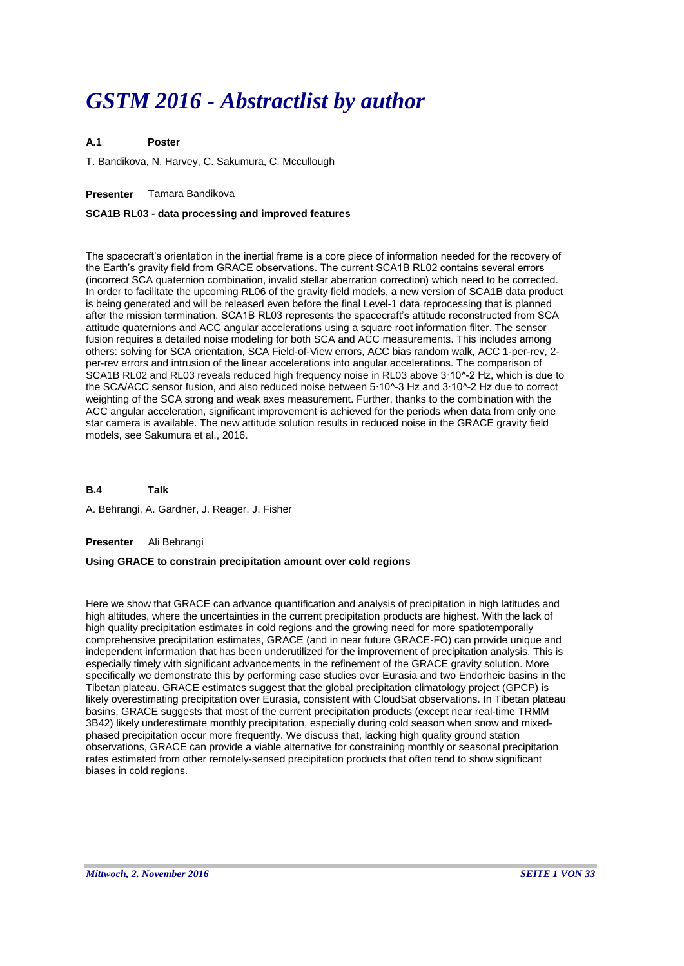# *GSTM 2016 - Abstractlist by author*

### **A.1 Poster**

T. Bandikova, N. Harvey, C. Sakumura, C. Mccullough

# **Presenter** Tamara Bandikova

# **SCA1B RL03 - data processing and improved features**

The spacecraft's orientation in the inertial frame is a core piece of information needed for the recovery of the Earth's gravity field from GRACE observations. The current SCA1B RL02 contains several errors (incorrect SCA quaternion combination, invalid stellar aberration correction) which need to be corrected. In order to facilitate the upcoming RL06 of the gravity field models, a new version of SCA1B data product is being generated and will be released even before the final Level-1 data reprocessing that is planned after the mission termination. SCA1B RL03 represents the spacecraft's attitude reconstructed from SCA attitude quaternions and ACC angular accelerations using a square root information filter. The sensor fusion requires a detailed noise modeling for both SCA and ACC measurements. This includes among others: solving for SCA orientation, SCA Field-of-View errors, ACC bias random walk, ACC 1-per-rev, 2 per-rev errors and intrusion of the linear accelerations into angular accelerations. The comparison of SCA1B RL02 and RL03 reveals reduced high frequency noise in RL03 above 3∙10^-2 Hz, which is due to the SCA/ACC sensor fusion, and also reduced noise between 5∙10^-3 Hz and 3∙10^-2 Hz due to correct weighting of the SCA strong and weak axes measurement. Further, thanks to the combination with the ACC angular acceleration, significant improvement is achieved for the periods when data from only one star camera is available. The new attitude solution results in reduced noise in the GRACE gravity field models, see Sakumura et al., 2016.

**B.4 Talk**

A. Behrangi, A. Gardner, J. Reager, J. Fisher

# **Presenter** Ali Behrangi

# **Using GRACE to constrain precipitation amount over cold regions**

Here we show that GRACE can advance quantification and analysis of precipitation in high latitudes and high altitudes, where the uncertainties in the current precipitation products are highest. With the lack of high quality precipitation estimates in cold regions and the growing need for more spatiotemporally comprehensive precipitation estimates, GRACE (and in near future GRACE-FO) can provide unique and independent information that has been underutilized for the improvement of precipitation analysis. This is especially timely with significant advancements in the refinement of the GRACE gravity solution. More specifically we demonstrate this by performing case studies over Eurasia and two Endorheic basins in the Tibetan plateau. GRACE estimates suggest that the global precipitation climatology project (GPCP) is likely overestimating precipitation over Eurasia, consistent with CloudSat observations. In Tibetan plateau basins, GRACE suggests that most of the current precipitation products (except near real-time TRMM 3B42) likely underestimate monthly precipitation, especially during cold season when snow and mixedphased precipitation occur more frequently. We discuss that, lacking high quality ground station observations, GRACE can provide a viable alternative for constraining monthly or seasonal precipitation rates estimated from other remotely-sensed precipitation products that often tend to show significant biases in cold regions.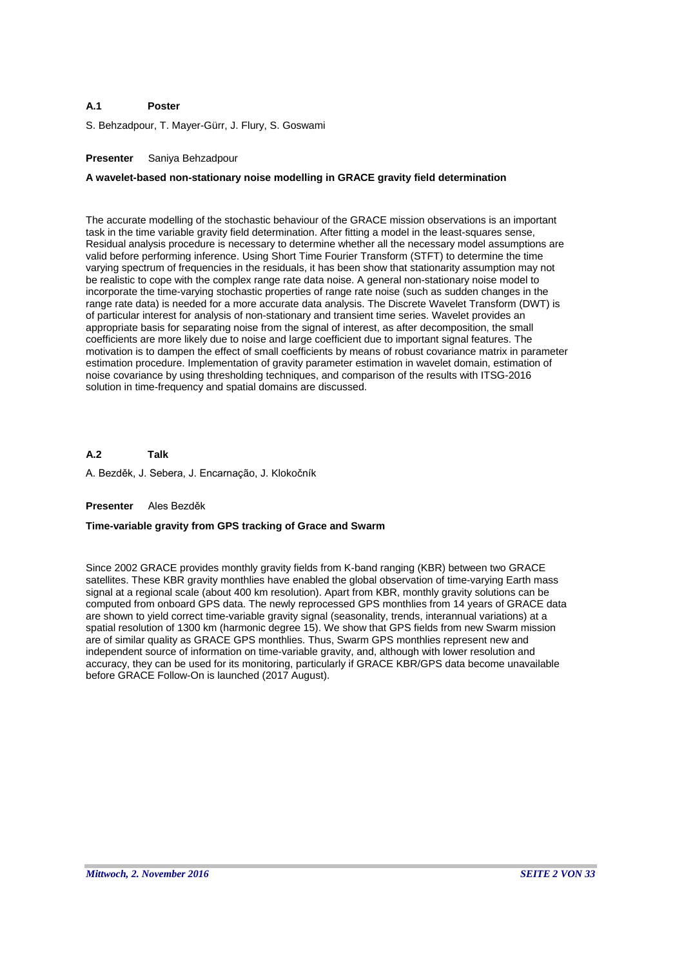### **A.1 Poster**

S. Behzadpour, T. Mayer-Gürr, J. Flury, S. Goswami

# **Presenter** Saniya Behzadpour

# **A wavelet-based non-stationary noise modelling in GRACE gravity field determination**

The accurate modelling of the stochastic behaviour of the GRACE mission observations is an important task in the time variable gravity field determination. After fitting a model in the least-squares sense, Residual analysis procedure is necessary to determine whether all the necessary model assumptions are valid before performing inference. Using Short Time Fourier Transform (STFT) to determine the time varying spectrum of frequencies in the residuals, it has been show that stationarity assumption may not be realistic to cope with the complex range rate data noise. A general non-stationary noise model to incorporate the time-varying stochastic properties of range rate noise (such as sudden changes in the range rate data) is needed for a more accurate data analysis. The Discrete Wavelet Transform (DWT) is of particular interest for analysis of non-stationary and transient time series. Wavelet provides an appropriate basis for separating noise from the signal of interest, as after decomposition, the small coefficients are more likely due to noise and large coefficient due to important signal features. The motivation is to dampen the effect of small coefficients by means of robust covariance matrix in parameter estimation procedure. Implementation of gravity parameter estimation in wavelet domain, estimation of noise covariance by using thresholding techniques, and comparison of the results with ITSG-2016 solution in time-frequency and spatial domains are discussed.

**A.2** A. Bezděk, J. Sebera, J. Encarnação, J. Klokočník **Talk**

# **Presenter** Ales Bezděk

# **Time-variable gravity from GPS tracking of Grace and Swarm**

Since 2002 GRACE provides monthly gravity fields from K-band ranging (KBR) between two GRACE satellites. These KBR gravity monthlies have enabled the global observation of time-varying Earth mass signal at a regional scale (about 400 km resolution). Apart from KBR, monthly gravity solutions can be computed from onboard GPS data. The newly reprocessed GPS monthlies from 14 years of GRACE data are shown to yield correct time-variable gravity signal (seasonality, trends, interannual variations) at a spatial resolution of 1300 km (harmonic degree 15). We show that GPS fields from new Swarm mission are of similar quality as GRACE GPS monthlies. Thus, Swarm GPS monthlies represent new and independent source of information on time-variable gravity, and, although with lower resolution and accuracy, they can be used for its monitoring, particularly if GRACE KBR/GPS data become unavailable before GRACE Follow-On is launched (2017 August).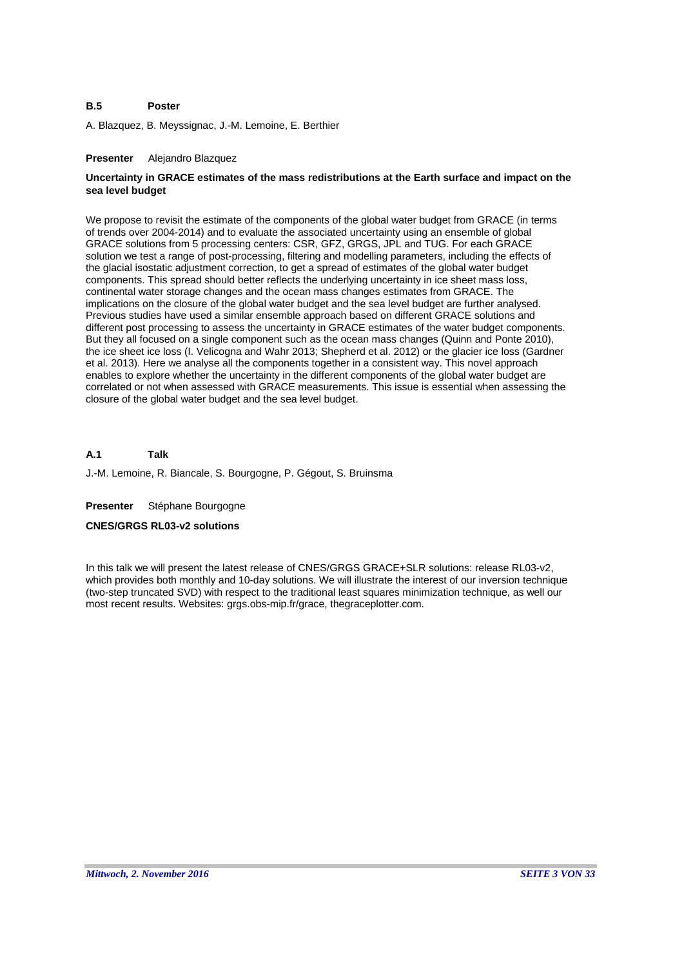#### **B.5 Poster**

A. Blazquez, B. Meyssignac, J.-M. Lemoine, E. Berthier

# **Presenter** Alejandro Blazquez

# **Uncertainty in GRACE estimates of the mass redistributions at the Earth surface and impact on the sea level budget**

We propose to revisit the estimate of the components of the global water budget from GRACE (in terms of trends over 2004-2014) and to evaluate the associated uncertainty using an ensemble of global GRACE solutions from 5 processing centers: CSR, GFZ, GRGS, JPL and TUG. For each GRACE solution we test a range of post-processing, filtering and modelling parameters, including the effects of the glacial isostatic adjustment correction, to get a spread of estimates of the global water budget components. This spread should better reflects the underlying uncertainty in ice sheet mass loss, continental water storage changes and the ocean mass changes estimates from GRACE. The implications on the closure of the global water budget and the sea level budget are further analysed. Previous studies have used a similar ensemble approach based on different GRACE solutions and different post processing to assess the uncertainty in GRACE estimates of the water budget components. But they all focused on a single component such as the ocean mass changes (Quinn and Ponte 2010), the ice sheet ice loss (I. Velicogna and Wahr 2013; Shepherd et al. 2012) or the glacier ice loss (Gardner et al. 2013). Here we analyse all the components together in a consistent way. This novel approach enables to explore whether the uncertainty in the different components of the global water budget are correlated or not when assessed with GRACE measurements. This issue is essential when assessing the closure of the global water budget and the sea level budget.

#### **A.1 Talk**

J.-M. Lemoine, R. Biancale, S. Bourgogne, P. Gégout, S. Bruinsma

**Presenter** Stéphane Bourgogne

# **CNES/GRGS RL03-v2 solutions**

In this talk we will present the latest release of CNES/GRGS GRACE+SLR solutions: release RL03-v2, which provides both monthly and 10-day solutions. We will illustrate the interest of our inversion technique (two-step truncated SVD) with respect to the traditional least squares minimization technique, as well our most recent results. Websites: grgs.obs-mip.fr/grace, thegraceplotter.com.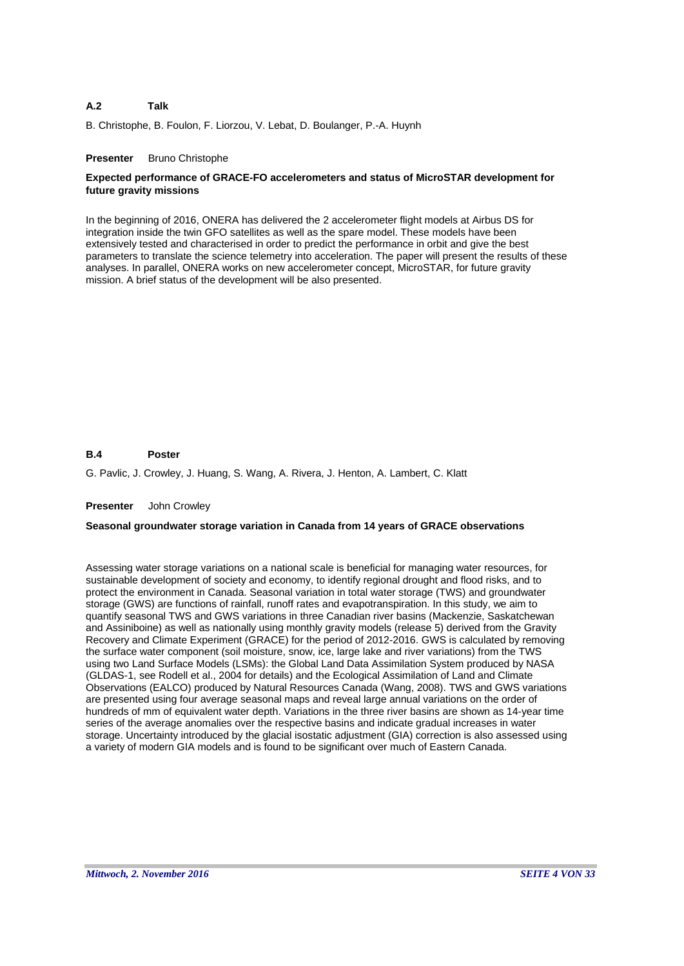#### **A.2 Talk**

B. Christophe, B. Foulon, F. Liorzou, V. Lebat, D. Boulanger, P.-A. Huynh

# **Presenter** Bruno Christophe

# **Expected performance of GRACE-FO accelerometers and status of MicroSTAR development for future gravity missions**

In the beginning of 2016, ONERA has delivered the 2 accelerometer flight models at Airbus DS for integration inside the twin GFO satellites as well as the spare model. These models have been extensively tested and characterised in order to predict the performance in orbit and give the best parameters to translate the science telemetry into acceleration. The paper will present the results of these analyses. In parallel, ONERA works on new accelerometer concept, MicroSTAR, for future gravity mission. A brief status of the development will be also presented.

#### **B.4 Poster**

G. Pavlic, J. Crowley, J. Huang, S. Wang, A. Rivera, J. Henton, A. Lambert, C. Klatt

# **Presenter** John Crowley

# **Seasonal groundwater storage variation in Canada from 14 years of GRACE observations**

Assessing water storage variations on a national scale is beneficial for managing water resources, for sustainable development of society and economy, to identify regional drought and flood risks, and to protect the environment in Canada. Seasonal variation in total water storage (TWS) and groundwater storage (GWS) are functions of rainfall, runoff rates and evapotranspiration. In this study, we aim to quantify seasonal TWS and GWS variations in three Canadian river basins (Mackenzie, Saskatchewan and Assiniboine) as well as nationally using monthly gravity models (release 5) derived from the Gravity Recovery and Climate Experiment (GRACE) for the period of 2012-2016. GWS is calculated by removing the surface water component (soil moisture, snow, ice, large lake and river variations) from the TWS using two Land Surface Models (LSMs): the Global Land Data Assimilation System produced by NASA (GLDAS-1, see Rodell et al., 2004 for details) and the Ecological Assimilation of Land and Climate Observations (EALCO) produced by Natural Resources Canada (Wang, 2008). TWS and GWS variations are presented using four average seasonal maps and reveal large annual variations on the order of hundreds of mm of equivalent water depth. Variations in the three river basins are shown as 14-year time series of the average anomalies over the respective basins and indicate gradual increases in water storage. Uncertainty introduced by the glacial isostatic adjustment (GIA) correction is also assessed using a variety of modern GIA models and is found to be significant over much of Eastern Canada.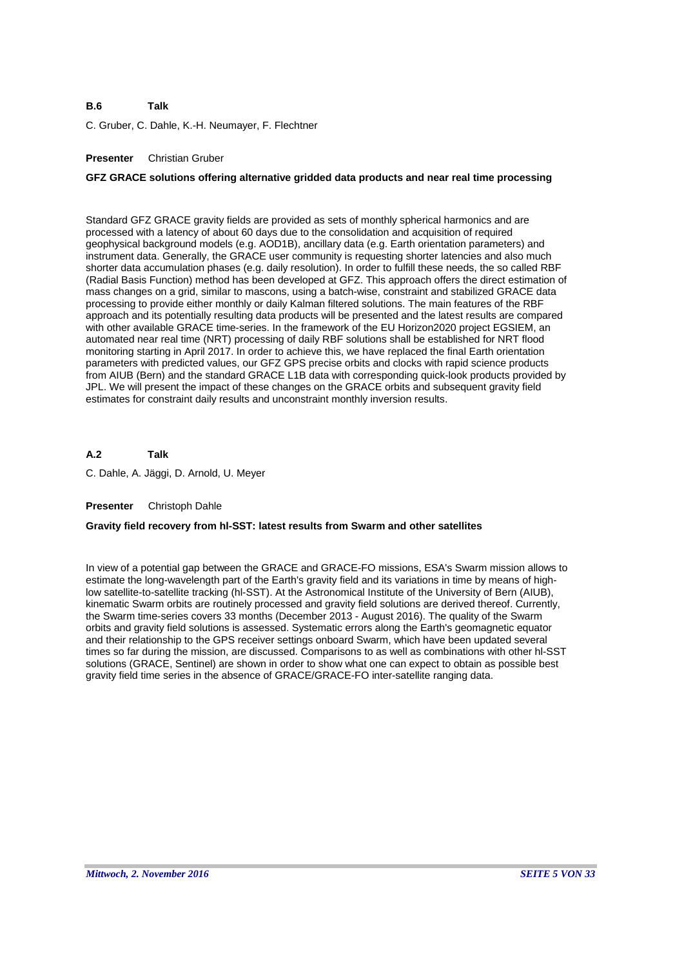### **B.6 Talk**

C. Gruber, C. Dahle, K.-H. Neumayer, F. Flechtner

# **Presenter** Christian Gruber

# **GFZ GRACE solutions offering alternative gridded data products and near real time processing**

Standard GFZ GRACE gravity fields are provided as sets of monthly spherical harmonics and are processed with a latency of about 60 days due to the consolidation and acquisition of required geophysical background models (e.g. AOD1B), ancillary data (e.g. Earth orientation parameters) and instrument data. Generally, the GRACE user community is requesting shorter latencies and also much shorter data accumulation phases (e.g. daily resolution). In order to fulfill these needs, the so called RBF (Radial Basis Function) method has been developed at GFZ. This approach offers the direct estimation of mass changes on a grid, similar to mascons, using a batch-wise, constraint and stabilized GRACE data processing to provide either monthly or daily Kalman filtered solutions. The main features of the RBF approach and its potentially resulting data products will be presented and the latest results are compared with other available GRACE time-series. In the framework of the EU Horizon2020 project EGSIEM, an automated near real time (NRT) processing of daily RBF solutions shall be established for NRT flood monitoring starting in April 2017. In order to achieve this, we have replaced the final Earth orientation parameters with predicted values, our GFZ GPS precise orbits and clocks with rapid science products from AIUB (Bern) and the standard GRACE L1B data with corresponding quick-look products provided by JPL. We will present the impact of these changes on the GRACE orbits and subsequent gravity field estimates for constraint daily results and unconstraint monthly inversion results.

**A.2 Talk**

C. Dahle, A. Jäggi, D. Arnold, U. Meyer

# **Presenter** Christoph Dahle

# **Gravity field recovery from hl-SST: latest results from Swarm and other satellites**

In view of a potential gap between the GRACE and GRACE-FO missions, ESA's Swarm mission allows to estimate the long-wavelength part of the Earth's gravity field and its variations in time by means of highlow satellite-to-satellite tracking (hl-SST). At the Astronomical Institute of the University of Bern (AIUB), kinematic Swarm orbits are routinely processed and gravity field solutions are derived thereof. Currently, the Swarm time-series covers 33 months (December 2013 - August 2016). The quality of the Swarm orbits and gravity field solutions is assessed. Systematic errors along the Earth's geomagnetic equator and their relationship to the GPS receiver settings onboard Swarm, which have been updated several times so far during the mission, are discussed. Comparisons to as well as combinations with other hl-SST solutions (GRACE, Sentinel) are shown in order to show what one can expect to obtain as possible best gravity field time series in the absence of GRACE/GRACE-FO inter-satellite ranging data.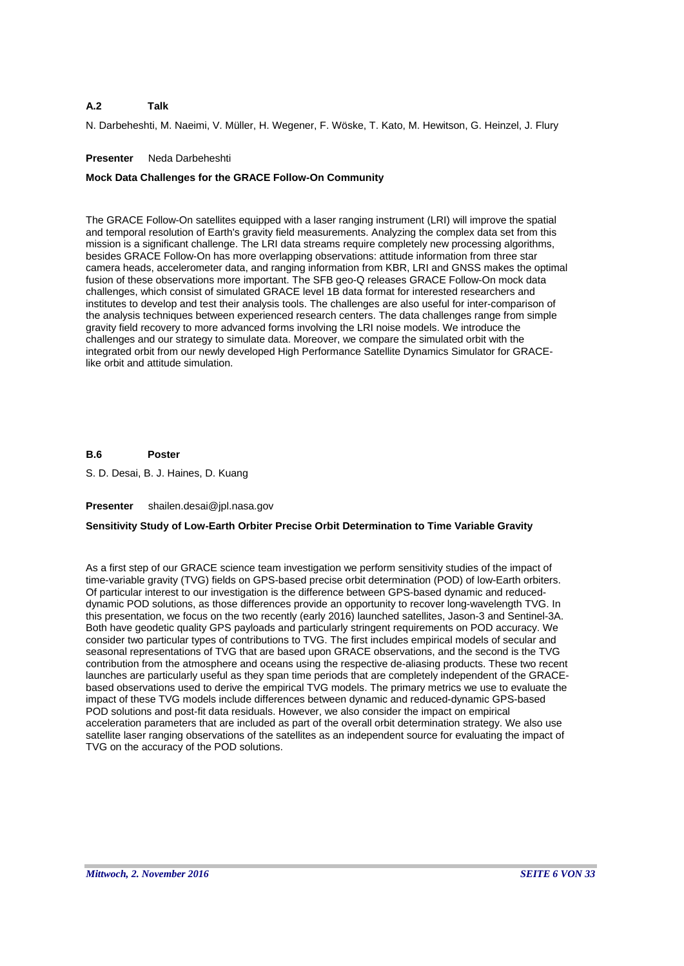### **A.2 Talk**

N. Darbeheshti, M. Naeimi, V. Müller, H. Wegener, F. Wöske, T. Kato, M. Hewitson, G. Heinzel, J. Flury

# **Presenter** Neda Darbeheshti

# **Mock Data Challenges for the GRACE Follow-On Community**

The GRACE Follow-On satellites equipped with a laser ranging instrument (LRI) will improve the spatial and temporal resolution of Earth's gravity field measurements. Analyzing the complex data set from this mission is a significant challenge. The LRI data streams require completely new processing algorithms, besides GRACE Follow-On has more overlapping observations: attitude information from three star camera heads, accelerometer data, and ranging information from KBR, LRI and GNSS makes the optimal fusion of these observations more important. The SFB geo-Q releases GRACE Follow-On mock data challenges, which consist of simulated GRACE level 1B data format for interested researchers and institutes to develop and test their analysis tools. The challenges are also useful for inter-comparison of the analysis techniques between experienced research centers. The data challenges range from simple gravity field recovery to more advanced forms involving the LRI noise models. We introduce the challenges and our strategy to simulate data. Moreover, we compare the simulated orbit with the integrated orbit from our newly developed High Performance Satellite Dynamics Simulator for GRACElike orbit and attitude simulation.

#### **B.6 Poster**

S. D. Desai, B. J. Haines, D. Kuang

# **Presenter** shailen.desai@jpl.nasa.gov

# **Sensitivity Study of Low-Earth Orbiter Precise Orbit Determination to Time Variable Gravity**

As a first step of our GRACE science team investigation we perform sensitivity studies of the impact of time-variable gravity (TVG) fields on GPS-based precise orbit determination (POD) of low-Earth orbiters. Of particular interest to our investigation is the difference between GPS-based dynamic and reduceddynamic POD solutions, as those differences provide an opportunity to recover long-wavelength TVG. In this presentation, we focus on the two recently (early 2016) launched satellites, Jason-3 and Sentinel-3A. Both have geodetic quality GPS payloads and particularly stringent requirements on POD accuracy. We consider two particular types of contributions to TVG. The first includes empirical models of secular and seasonal representations of TVG that are based upon GRACE observations, and the second is the TVG contribution from the atmosphere and oceans using the respective de-aliasing products. These two recent launches are particularly useful as they span time periods that are completely independent of the GRACEbased observations used to derive the empirical TVG models. The primary metrics we use to evaluate the impact of these TVG models include differences between dynamic and reduced-dynamic GPS-based POD solutions and post-fit data residuals. However, we also consider the impact on empirical acceleration parameters that are included as part of the overall orbit determination strategy. We also use satellite laser ranging observations of the satellites as an independent source for evaluating the impact of TVG on the accuracy of the POD solutions.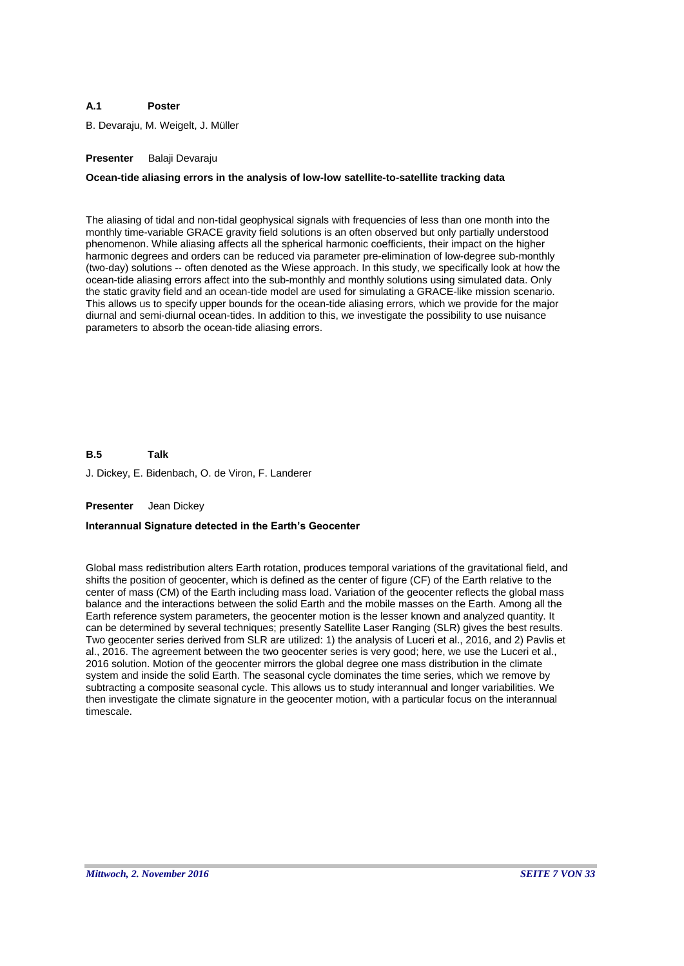### **A.1 Poster**

B. Devaraju, M. Weigelt, J. Müller

# **Presenter** Balaji Devaraju

# **Ocean-tide aliasing errors in the analysis of low-low satellite-to-satellite tracking data**

The aliasing of tidal and non-tidal geophysical signals with frequencies of less than one month into the monthly time-variable GRACE gravity field solutions is an often observed but only partially understood phenomenon. While aliasing affects all the spherical harmonic coefficients, their impact on the higher harmonic degrees and orders can be reduced via parameter pre-elimination of low-degree sub-monthly (two-day) solutions -- often denoted as the Wiese approach. In this study, we specifically look at how the ocean-tide aliasing errors affect into the sub-monthly and monthly solutions using simulated data. Only the static gravity field and an ocean-tide model are used for simulating a GRACE-like mission scenario. This allows us to specify upper bounds for the ocean-tide aliasing errors, which we provide for the major diurnal and semi-diurnal ocean-tides. In addition to this, we investigate the possibility to use nuisance parameters to absorb the ocean-tide aliasing errors.

**B.5** J. Dickey, E. Bidenbach, O. de Viron, F. Landerer **Talk**

**Presenter** Jean Dickey

# **Interannual Signature detected in the Earth's Geocenter**

Global mass redistribution alters Earth rotation, produces temporal variations of the gravitational field, and shifts the position of geocenter, which is defined as the center of figure (CF) of the Earth relative to the center of mass (CM) of the Earth including mass load. Variation of the geocenter reflects the global mass balance and the interactions between the solid Earth and the mobile masses on the Earth. Among all the Earth reference system parameters, the geocenter motion is the lesser known and analyzed quantity. It can be determined by several techniques; presently Satellite Laser Ranging (SLR) gives the best results. Two geocenter series derived from SLR are utilized: 1) the analysis of Luceri et al., 2016, and 2) Pavlis et al., 2016. The agreement between the two geocenter series is very good; here, we use the Luceri et al., 2016 solution. Motion of the geocenter mirrors the global degree one mass distribution in the climate system and inside the solid Earth. The seasonal cycle dominates the time series, which we remove by subtracting a composite seasonal cycle. This allows us to study interannual and longer variabilities. We then investigate the climate signature in the geocenter motion, with a particular focus on the interannual timescale.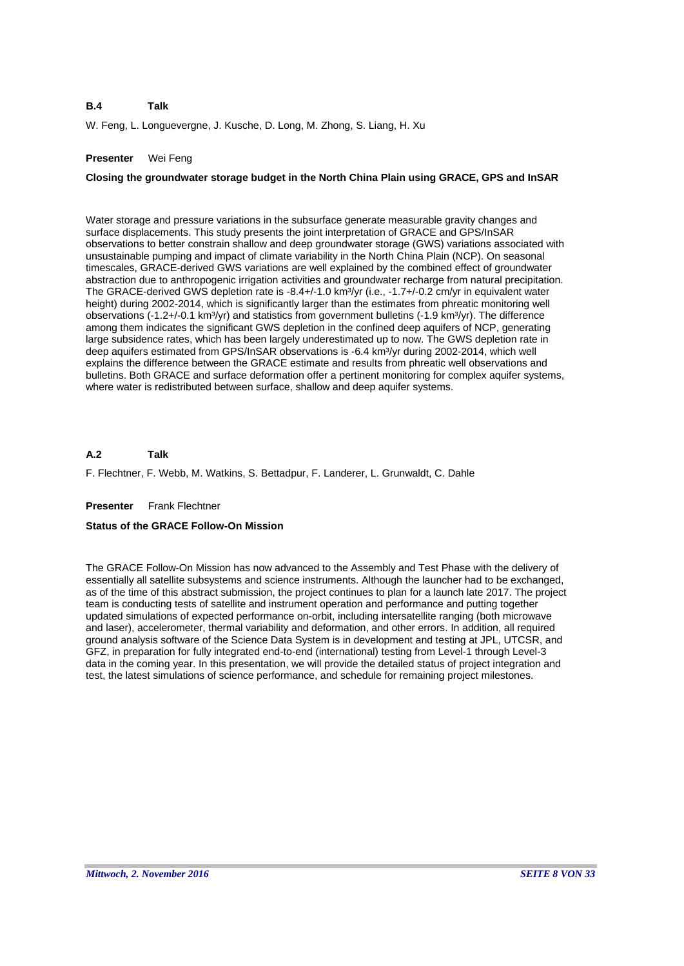W. Feng, L. Longuevergne, J. Kusche, D. Long, M. Zhong, S. Liang, H. Xu

# **Presenter** Wei Feng

# **Closing the groundwater storage budget in the North China Plain using GRACE, GPS and InSAR**

Water storage and pressure variations in the subsurface generate measurable gravity changes and surface displacements. This study presents the joint interpretation of GRACE and GPS/InSAR observations to better constrain shallow and deep groundwater storage (GWS) variations associated with unsustainable pumping and impact of climate variability in the North China Plain (NCP). On seasonal timescales, GRACE-derived GWS variations are well explained by the combined effect of groundwater abstraction due to anthropogenic irrigation activities and groundwater recharge from natural precipitation. The GRACE-derived GWS depletion rate is -8.4+/-1.0 km<sup>3</sup>/yr (i.e., -1.7+/-0.2 cm/yr in equivalent water height) during 2002-2014, which is significantly larger than the estimates from phreatic monitoring well observations (-1.2+/-0.1 km<sup>3</sup>/yr) and statistics from government bulletins (-1.9 km<sup>3</sup>/yr). The difference among them indicates the significant GWS depletion in the confined deep aquifers of NCP, generating large subsidence rates, which has been largely underestimated up to now. The GWS depletion rate in deep aquifers estimated from GPS/InSAR observations is -6.4 km<sup>3</sup>/yr during 2002-2014, which well explains the difference between the GRACE estimate and results from phreatic well observations and bulletins. Both GRACE and surface deformation offer a pertinent monitoring for complex aquifer systems, where water is redistributed between surface, shallow and deep aquifer systems.

#### **A.2 Talk**

F. Flechtner, F. Webb, M. Watkins, S. Bettadpur, F. Landerer, L. Grunwaldt, C. Dahle

# **Presenter** Frank Flechtner

# **Status of the GRACE Follow-On Mission**

The GRACE Follow-On Mission has now advanced to the Assembly and Test Phase with the delivery of essentially all satellite subsystems and science instruments. Although the launcher had to be exchanged, as of the time of this abstract submission, the project continues to plan for a launch late 2017. The project team is conducting tests of satellite and instrument operation and performance and putting together updated simulations of expected performance on-orbit, including intersatellite ranging (both microwave and laser), accelerometer, thermal variability and deformation, and other errors. In addition, all required ground analysis software of the Science Data System is in development and testing at JPL, UTCSR, and GFZ, in preparation for fully integrated end-to-end (international) testing from Level-1 through Level-3 data in the coming year. In this presentation, we will provide the detailed status of project integration and test, the latest simulations of science performance, and schedule for remaining project milestones.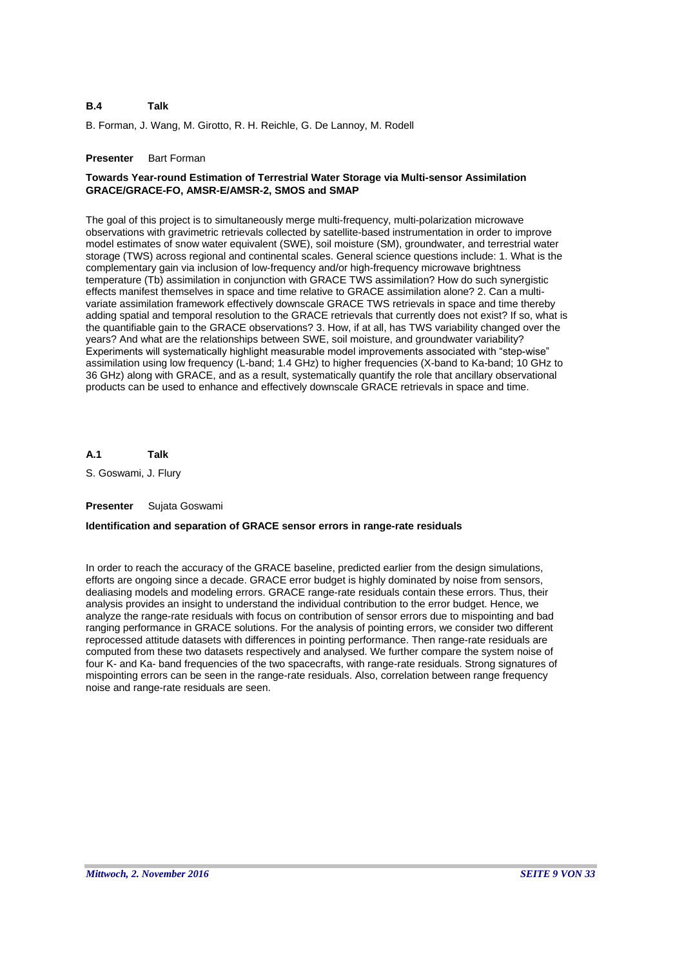B. Forman, J. Wang, M. Girotto, R. H. Reichle, G. De Lannoy, M. Rodell

### **Presenter** Bart Forman

# **Towards Year-round Estimation of Terrestrial Water Storage via Multi-sensor Assimilation GRACE/GRACE-FO, AMSR-E/AMSR-2, SMOS and SMAP**

The goal of this project is to simultaneously merge multi-frequency, multi-polarization microwave observations with gravimetric retrievals collected by satellite-based instrumentation in order to improve model estimates of snow water equivalent (SWE), soil moisture (SM), groundwater, and terrestrial water storage (TWS) across regional and continental scales. General science questions include: 1. What is the complementary gain via inclusion of low-frequency and/or high-frequency microwave brightness temperature (Tb) assimilation in conjunction with GRACE TWS assimilation? How do such synergistic effects manifest themselves in space and time relative to GRACE assimilation alone? 2. Can a multivariate assimilation framework effectively downscale GRACE TWS retrievals in space and time thereby adding spatial and temporal resolution to the GRACE retrievals that currently does not exist? If so, what is the quantifiable gain to the GRACE observations? 3. How, if at all, has TWS variability changed over the years? And what are the relationships between SWE, soil moisture, and groundwater variability? Experiments will systematically highlight measurable model improvements associated with "step-wise" assimilation using low frequency (L-band; 1.4 GHz) to higher frequencies (X-band to Ka-band; 10 GHz to 36 GHz) along with GRACE, and as a result, systematically quantify the role that ancillary observational products can be used to enhance and effectively downscale GRACE retrievals in space and time.

**A.1 Talk**

S. Goswami, J. Flury

### **Presenter** Sujata Goswami

# **Identification and separation of GRACE sensor errors in range-rate residuals**

In order to reach the accuracy of the GRACE baseline, predicted earlier from the design simulations, efforts are ongoing since a decade. GRACE error budget is highly dominated by noise from sensors, dealiasing models and modeling errors. GRACE range-rate residuals contain these errors. Thus, their analysis provides an insight to understand the individual contribution to the error budget. Hence, we analyze the range-rate residuals with focus on contribution of sensor errors due to mispointing and bad ranging performance in GRACE solutions. For the analysis of pointing errors, we consider two different reprocessed attitude datasets with differences in pointing performance. Then range-rate residuals are computed from these two datasets respectively and analysed. We further compare the system noise of four K- and Ka- band frequencies of the two spacecrafts, with range-rate residuals. Strong signatures of mispointing errors can be seen in the range-rate residuals. Also, correlation between range frequency noise and range-rate residuals are seen.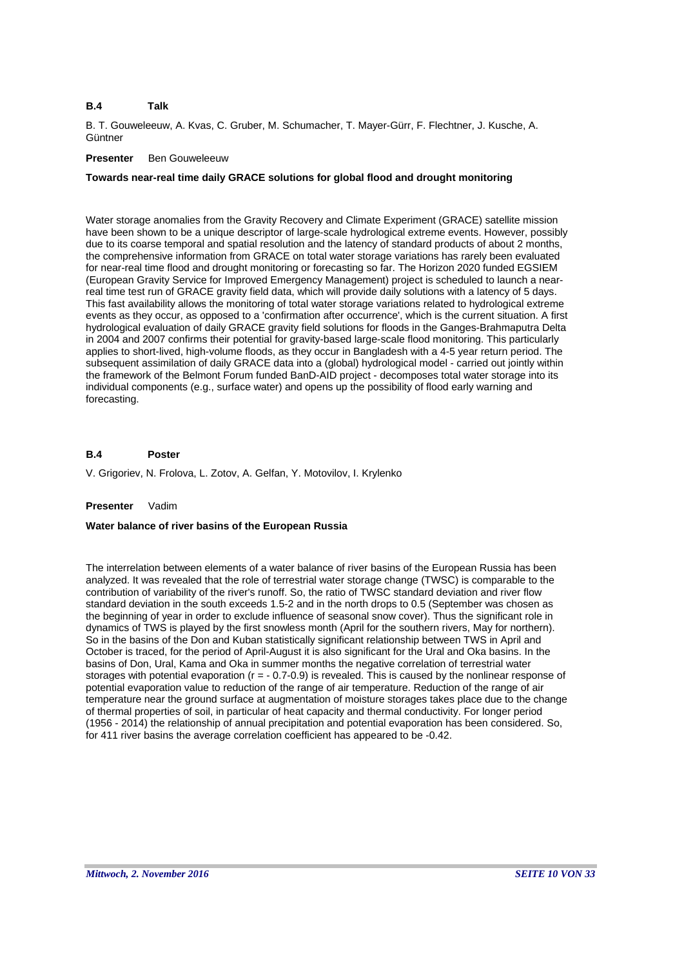B. T. Gouweleeuw, A. Kvas, C. Gruber, M. Schumacher, T. Mayer-Gürr, F. Flechtner, J. Kusche, A. **Güntner** 

# **Presenter** Ben Gouweleeuw

# **Towards near-real time daily GRACE solutions for global flood and drought monitoring**

Water storage anomalies from the Gravity Recovery and Climate Experiment (GRACE) satellite mission have been shown to be a unique descriptor of large-scale hydrological extreme events. However, possibly due to its coarse temporal and spatial resolution and the latency of standard products of about 2 months, the comprehensive information from GRACE on total water storage variations has rarely been evaluated for near-real time flood and drought monitoring or forecasting so far. The Horizon 2020 funded EGSIEM (European Gravity Service for Improved Emergency Management) project is scheduled to launch a nearreal time test run of GRACE gravity field data, which will provide daily solutions with a latency of 5 days. This fast availability allows the monitoring of total water storage variations related to hydrological extreme events as they occur, as opposed to a 'confirmation after occurrence', which is the current situation. A first hydrological evaluation of daily GRACE gravity field solutions for floods in the Ganges-Brahmaputra Delta in 2004 and 2007 confirms their potential for gravity-based large-scale flood monitoring. This particularly applies to short-lived, high-volume floods, as they occur in Bangladesh with a 4-5 year return period. The subsequent assimilation of daily GRACE data into a (global) hydrological model - carried out jointly within the framework of the Belmont Forum funded BanD-AID project - decomposes total water storage into its individual components (e.g., surface water) and opens up the possibility of flood early warning and forecasting.

#### **B.4 Poster**

V. Grigoriev, N. Frolova, L. Zotov, A. Gelfan, Y. Motovilov, I. Krylenko

# **Presenter** Vadim

# **Water balance of river basins of the European Russia**

The interrelation between elements of a water balance of river basins of the European Russia has been analyzed. It was revealed that the role of terrestrial water storage change (TWSC) is comparable to the contribution of variability of the river's runoff. So, the ratio of TWSC standard deviation and river flow standard deviation in the south exceeds 1.5-2 and in the north drops to 0.5 (September was chosen as the beginning of year in order to exclude influence of seasonal snow cover). Thus the significant role in dynamics of TWS is played by the first snowless month (April for the southern rivers, May for northern). So in the basins of the Don and Kuban statistically significant relationship between TWS in April and October is traced, for the period of April-August it is also significant for the Ural and Oka basins. In the basins of Don, Ural, Kama and Oka in summer months the negative correlation of terrestrial water storages with potential evaporation (r = - 0.7-0.9) is revealed. This is caused by the nonlinear response of potential evaporation value to reduction of the range of air temperature. Reduction of the range of air temperature near the ground surface at augmentation of moisture storages takes place due to the change of thermal properties of soil, in particular of heat capacity and thermal conductivity. For longer period (1956 - 2014) the relationship of annual precipitation and potential evaporation has been considered. So, for 411 river basins the average correlation coefficient has appeared to be -0.42.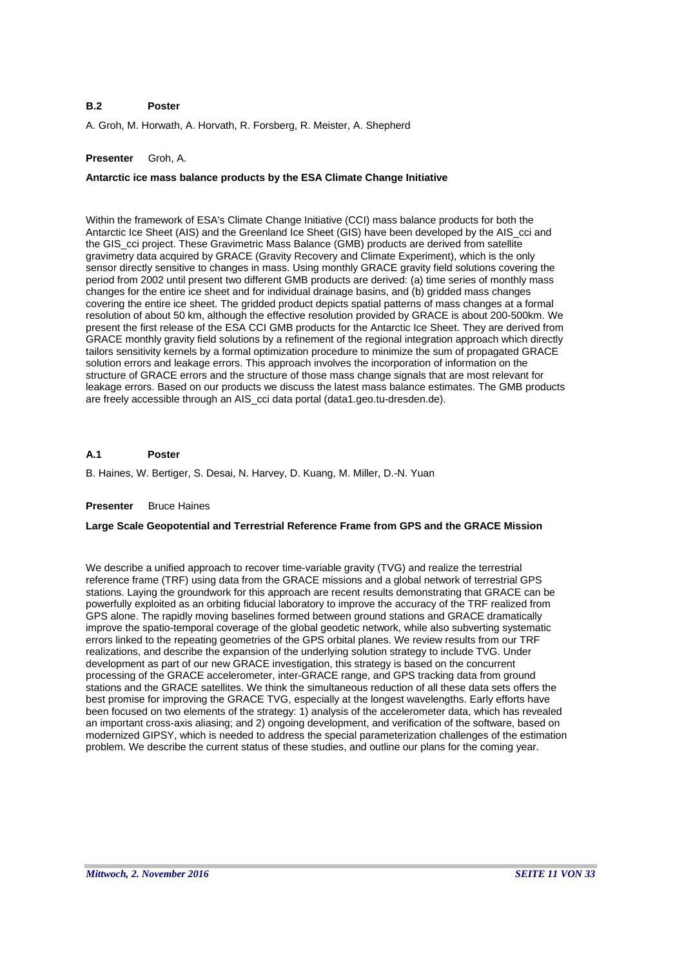### **B.2 Poster**

A. Groh, M. Horwath, A. Horvath, R. Forsberg, R. Meister, A. Shepherd

# **Presenter** Groh, A.

# **Antarctic ice mass balance products by the ESA Climate Change Initiative**

Within the framework of ESA's Climate Change Initiative (CCI) mass balance products for both the Antarctic Ice Sheet (AIS) and the Greenland Ice Sheet (GIS) have been developed by the AIS\_cci and the GIS\_cci project. These Gravimetric Mass Balance (GMB) products are derived from satellite gravimetry data acquired by GRACE (Gravity Recovery and Climate Experiment), which is the only sensor directly sensitive to changes in mass. Using monthly GRACE gravity field solutions covering the period from 2002 until present two different GMB products are derived: (a) time series of monthly mass changes for the entire ice sheet and for individual drainage basins, and (b) gridded mass changes covering the entire ice sheet. The gridded product depicts spatial patterns of mass changes at a formal resolution of about 50 km, although the effective resolution provided by GRACE is about 200-500km. We present the first release of the ESA CCI GMB products for the Antarctic Ice Sheet. They are derived from GRACE monthly gravity field solutions by a refinement of the regional integration approach which directly tailors sensitivity kernels by a formal optimization procedure to minimize the sum of propagated GRACE solution errors and leakage errors. This approach involves the incorporation of information on the structure of GRACE errors and the structure of those mass change signals that are most relevant for leakage errors. Based on our products we discuss the latest mass balance estimates. The GMB products are freely accessible through an AIS\_cci data portal (data1.geo.tu-dresden.de).

#### **A.1 Poster**

B. Haines, W. Bertiger, S. Desai, N. Harvey, D. Kuang, M. Miller, D.-N. Yuan

### **Presenter** Bruce Haines

# **Large Scale Geopotential and Terrestrial Reference Frame from GPS and the GRACE Mission**

We describe a unified approach to recover time-variable gravity (TVG) and realize the terrestrial reference frame (TRF) using data from the GRACE missions and a global network of terrestrial GPS stations. Laying the groundwork for this approach are recent results demonstrating that GRACE can be powerfully exploited as an orbiting fiducial laboratory to improve the accuracy of the TRF realized from GPS alone. The rapidly moving baselines formed between ground stations and GRACE dramatically improve the spatio-temporal coverage of the global geodetic network, while also subverting systematic errors linked to the repeating geometries of the GPS orbital planes. We review results from our TRF realizations, and describe the expansion of the underlying solution strategy to include TVG. Under development as part of our new GRACE investigation, this strategy is based on the concurrent processing of the GRACE accelerometer, inter-GRACE range, and GPS tracking data from ground stations and the GRACE satellites. We think the simultaneous reduction of all these data sets offers the best promise for improving the GRACE TVG, especially at the longest wavelengths. Early efforts have been focused on two elements of the strategy: 1) analysis of the accelerometer data, which has revealed an important cross-axis aliasing; and 2) ongoing development, and verification of the software, based on modernized GIPSY, which is needed to address the special parameterization challenges of the estimation problem. We describe the current status of these studies, and outline our plans for the coming year.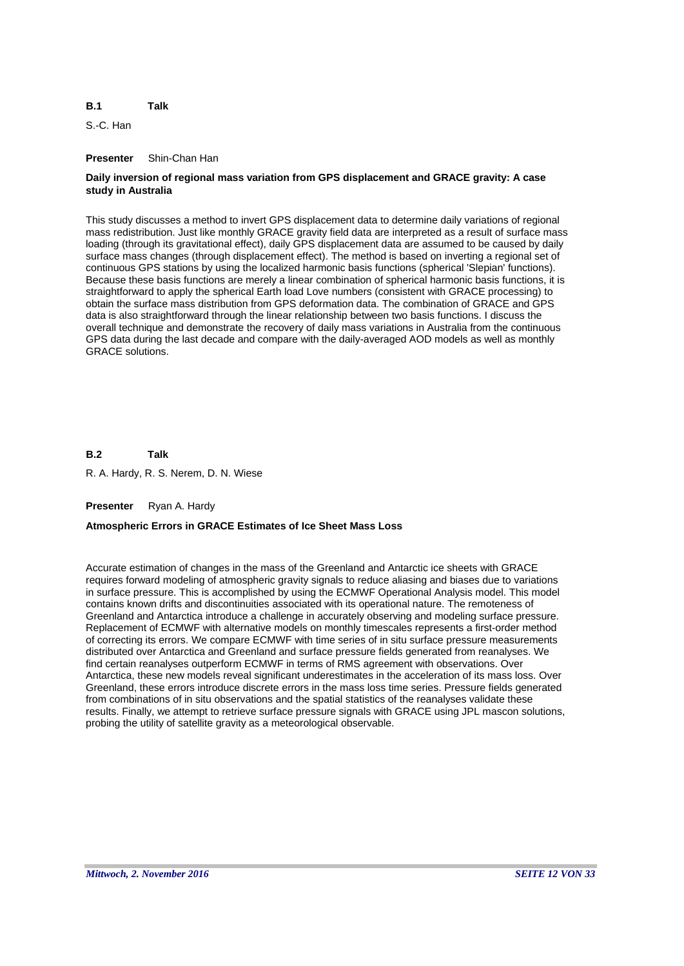#### **B.1 Talk**

S.-C. Han

# **Presenter** Shin-Chan Han

# **Daily inversion of regional mass variation from GPS displacement and GRACE gravity: A case study in Australia**

This study discusses a method to invert GPS displacement data to determine daily variations of regional mass redistribution. Just like monthly GRACE gravity field data are interpreted as a result of surface mass loading (through its gravitational effect), daily GPS displacement data are assumed to be caused by daily surface mass changes (through displacement effect). The method is based on inverting a regional set of continuous GPS stations by using the localized harmonic basis functions (spherical 'Slepian' functions). Because these basis functions are merely a linear combination of spherical harmonic basis functions, it is straightforward to apply the spherical Earth load Love numbers (consistent with GRACE processing) to obtain the surface mass distribution from GPS deformation data. The combination of GRACE and GPS data is also straightforward through the linear relationship between two basis functions. I discuss the overall technique and demonstrate the recovery of daily mass variations in Australia from the continuous GPS data during the last decade and compare with the daily-averaged AOD models as well as monthly GRACE solutions.

**B.2** R. A. Hardy, R. S. Nerem, D. N. Wiese **Talk**

# **Presenter** Ryan A. Hardy

# **Atmospheric Errors in GRACE Estimates of Ice Sheet Mass Loss**

Accurate estimation of changes in the mass of the Greenland and Antarctic ice sheets with GRACE requires forward modeling of atmospheric gravity signals to reduce aliasing and biases due to variations in surface pressure. This is accomplished by using the ECMWF Operational Analysis model. This model contains known drifts and discontinuities associated with its operational nature. The remoteness of Greenland and Antarctica introduce a challenge in accurately observing and modeling surface pressure. Replacement of ECMWF with alternative models on monthly timescales represents a first-order method of correcting its errors. We compare ECMWF with time series of in situ surface pressure measurements distributed over Antarctica and Greenland and surface pressure fields generated from reanalyses. We find certain reanalyses outperform ECMWF in terms of RMS agreement with observations. Over Antarctica, these new models reveal significant underestimates in the acceleration of its mass loss. Over Greenland, these errors introduce discrete errors in the mass loss time series. Pressure fields generated from combinations of in situ observations and the spatial statistics of the reanalyses validate these results. Finally, we attempt to retrieve surface pressure signals with GRACE using JPL mascon solutions, probing the utility of satellite gravity as a meteorological observable.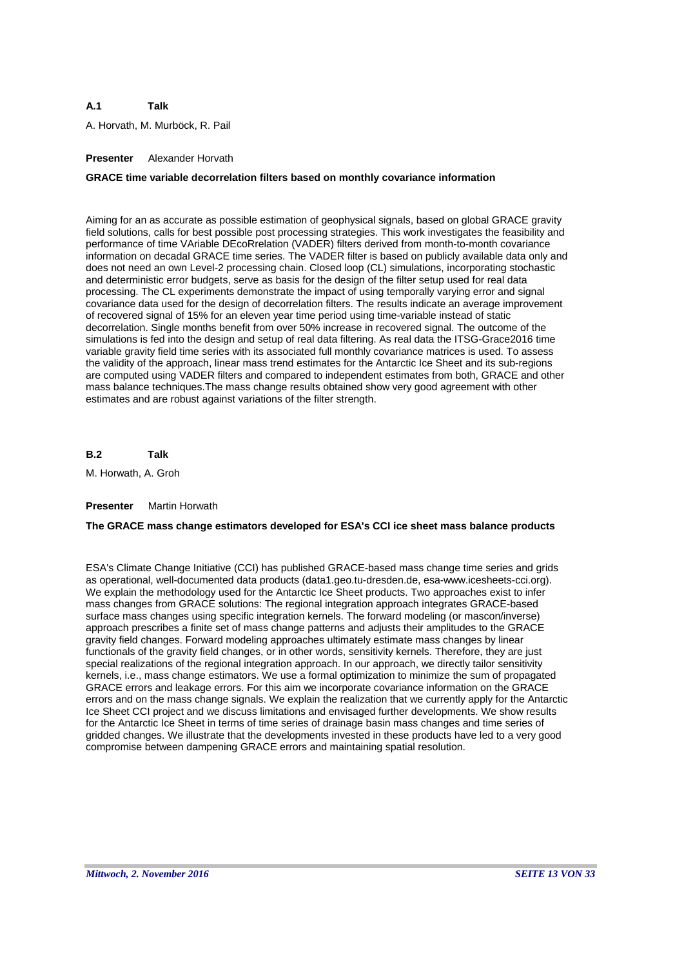### **A.1 Talk**

A. Horvath, M. Murböck, R. Pail

# **Presenter** Alexander Horvath

# **GRACE time variable decorrelation filters based on monthly covariance information**

Aiming for an as accurate as possible estimation of geophysical signals, based on global GRACE gravity field solutions, calls for best possible post processing strategies. This work investigates the feasibility and performance of time VAriable DEcoRrelation (VADER) filters derived from month-to-month covariance information on decadal GRACE time series. The VADER filter is based on publicly available data only and does not need an own Level-2 processing chain. Closed loop (CL) simulations, incorporating stochastic and deterministic error budgets, serve as basis for the design of the filter setup used for real data processing. The CL experiments demonstrate the impact of using temporally varying error and signal covariance data used for the design of decorrelation filters. The results indicate an average improvement of recovered signal of 15% for an eleven year time period using time-variable instead of static decorrelation. Single months benefit from over 50% increase in recovered signal. The outcome of the simulations is fed into the design and setup of real data filtering. As real data the ITSG-Grace2016 time variable gravity field time series with its associated full monthly covariance matrices is used. To assess the validity of the approach, linear mass trend estimates for the Antarctic Ice Sheet and its sub-regions are computed using VADER filters and compared to independent estimates from both, GRACE and other mass balance techniques.The mass change results obtained show very good agreement with other estimates and are robust against variations of the filter strength.

**B.2 Talk**

M. Horwath, A. Groh

# **Presenter** Martin Horwath

# **The GRACE mass change estimators developed for ESA's CCI ice sheet mass balance products**

ESA's Climate Change Initiative (CCI) has published GRACE-based mass change time series and grids as operational, well-documented data products (data1.geo.tu-dresden.de, esa-www.icesheets-cci.org). We explain the methodology used for the Antarctic Ice Sheet products. Two approaches exist to infer mass changes from GRACE solutions: The regional integration approach integrates GRACE-based surface mass changes using specific integration kernels. The forward modeling (or mascon/inverse) approach prescribes a finite set of mass change patterns and adjusts their amplitudes to the GRACE gravity field changes. Forward modeling approaches ultimately estimate mass changes by linear functionals of the gravity field changes, or in other words, sensitivity kernels. Therefore, they are just special realizations of the regional integration approach. In our approach, we directly tailor sensitivity kernels, i.e., mass change estimators. We use a formal optimization to minimize the sum of propagated GRACE errors and leakage errors. For this aim we incorporate covariance information on the GRACE errors and on the mass change signals. We explain the realization that we currently apply for the Antarctic Ice Sheet CCI project and we discuss limitations and envisaged further developments. We show results for the Antarctic Ice Sheet in terms of time series of drainage basin mass changes and time series of gridded changes. We illustrate that the developments invested in these products have led to a very good compromise between dampening GRACE errors and maintaining spatial resolution.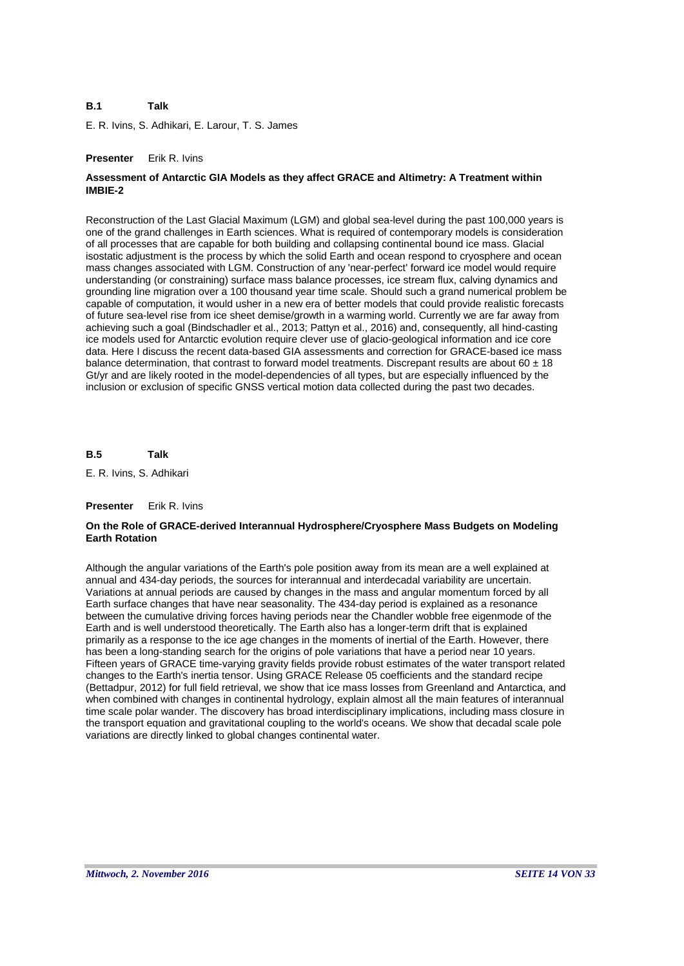### **B.1 Talk**

E. R. Ivins, S. Adhikari, E. Larour, T. S. James

# **Presenter** Erik R. Ivins

# **Assessment of Antarctic GIA Models as they affect GRACE and Altimetry: A Treatment within IMBIE-2**

Reconstruction of the Last Glacial Maximum (LGM) and global sea-level during the past 100,000 years is one of the grand challenges in Earth sciences. What is required of contemporary models is consideration of all processes that are capable for both building and collapsing continental bound ice mass. Glacial isostatic adjustment is the process by which the solid Earth and ocean respond to cryosphere and ocean mass changes associated with LGM. Construction of any 'near-perfect' forward ice model would require understanding (or constraining) surface mass balance processes, ice stream flux, calving dynamics and grounding line migration over a 100 thousand year time scale. Should such a grand numerical problem be capable of computation, it would usher in a new era of better models that could provide realistic forecasts of future sea-level rise from ice sheet demise/growth in a warming world. Currently we are far away from achieving such a goal (Bindschadler et al., 2013; Pattyn et al., 2016) and, consequently, all hind-casting ice models used for Antarctic evolution require clever use of glacio-geological information and ice core data. Here I discuss the recent data-based GIA assessments and correction for GRACE-based ice mass balance determination, that contrast to forward model treatments. Discrepant results are about  $60 \pm 18$ Gt/yr and are likely rooted in the model-dependencies of all types, but are especially influenced by the inclusion or exclusion of specific GNSS vertical motion data collected during the past two decades.

**B.5 Talk**

E. R. Ivins, S. Adhikari

# **Presenter** Erik R. Ivins

# **On the Role of GRACE-derived Interannual Hydrosphere/Cryosphere Mass Budgets on Modeling Earth Rotation**

Although the angular variations of the Earth's pole position away from its mean are a well explained at annual and 434-day periods, the sources for interannual and interdecadal variability are uncertain. Variations at annual periods are caused by changes in the mass and angular momentum forced by all Earth surface changes that have near seasonality. The 434-day period is explained as a resonance between the cumulative driving forces having periods near the Chandler wobble free eigenmode of the Earth and is well understood theoretically. The Earth also has a longer-term drift that is explained primarily as a response to the ice age changes in the moments of inertial of the Earth. However, there has been a long-standing search for the origins of pole variations that have a period near 10 years. Fifteen years of GRACE time-varying gravity fields provide robust estimates of the water transport related changes to the Earth's inertia tensor. Using GRACE Release 05 coefficients and the standard recipe (Bettadpur, 2012) for full field retrieval, we show that ice mass losses from Greenland and Antarctica, and when combined with changes in continental hydrology, explain almost all the main features of interannual time scale polar wander. The discovery has broad interdisciplinary implications, including mass closure in the transport equation and gravitational coupling to the world's oceans. We show that decadal scale pole variations are directly linked to global changes continental water.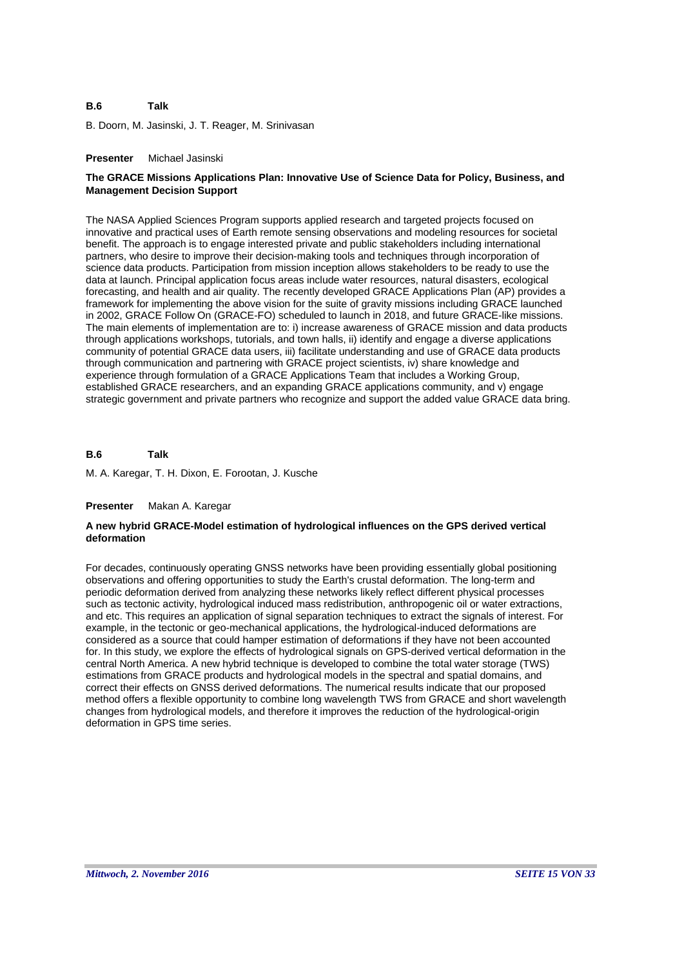#### **B.6 Talk**

B. Doorn, M. Jasinski, J. T. Reager, M. Srinivasan

### **Presenter** Michael Jasinski

# **The GRACE Missions Applications Plan: Innovative Use of Science Data for Policy, Business, and Management Decision Support**

The NASA Applied Sciences Program supports applied research and targeted projects focused on innovative and practical uses of Earth remote sensing observations and modeling resources for societal benefit. The approach is to engage interested private and public stakeholders including international partners, who desire to improve their decision-making tools and techniques through incorporation of science data products. Participation from mission inception allows stakeholders to be ready to use the data at launch. Principal application focus areas include water resources, natural disasters, ecological forecasting, and health and air quality. The recently developed GRACE Applications Plan (AP) provides a framework for implementing the above vision for the suite of gravity missions including GRACE launched in 2002, GRACE Follow On (GRACE-FO) scheduled to launch in 2018, and future GRACE-like missions. The main elements of implementation are to: i) increase awareness of GRACE mission and data products through applications workshops, tutorials, and town halls, ii) identify and engage a diverse applications community of potential GRACE data users, iii) facilitate understanding and use of GRACE data products through communication and partnering with GRACE project scientists, iv) share knowledge and experience through formulation of a GRACE Applications Team that includes a Working Group, established GRACE researchers, and an expanding GRACE applications community, and v) engage strategic government and private partners who recognize and support the added value GRACE data bring.

#### **B.6 Talk**

M. A. Karegar, T. H. Dixon, E. Forootan, J. Kusche

### **Presenter** Makan A. Karegar

# **A new hybrid GRACE-Model estimation of hydrological influences on the GPS derived vertical deformation**

For decades, continuously operating GNSS networks have been providing essentially global positioning observations and offering opportunities to study the Earth's crustal deformation. The long-term and periodic deformation derived from analyzing these networks likely reflect different physical processes such as tectonic activity, hydrological induced mass redistribution, anthropogenic oil or water extractions, and etc. This requires an application of signal separation techniques to extract the signals of interest. For example, in the tectonic or geo-mechanical applications, the hydrological-induced deformations are considered as a source that could hamper estimation of deformations if they have not been accounted for. In this study, we explore the effects of hydrological signals on GPS-derived vertical deformation in the central North America. A new hybrid technique is developed to combine the total water storage (TWS) estimations from GRACE products and hydrological models in the spectral and spatial domains, and correct their effects on GNSS derived deformations. The numerical results indicate that our proposed method offers a flexible opportunity to combine long wavelength TWS from GRACE and short wavelength changes from hydrological models, and therefore it improves the reduction of the hydrological-origin deformation in GPS time series.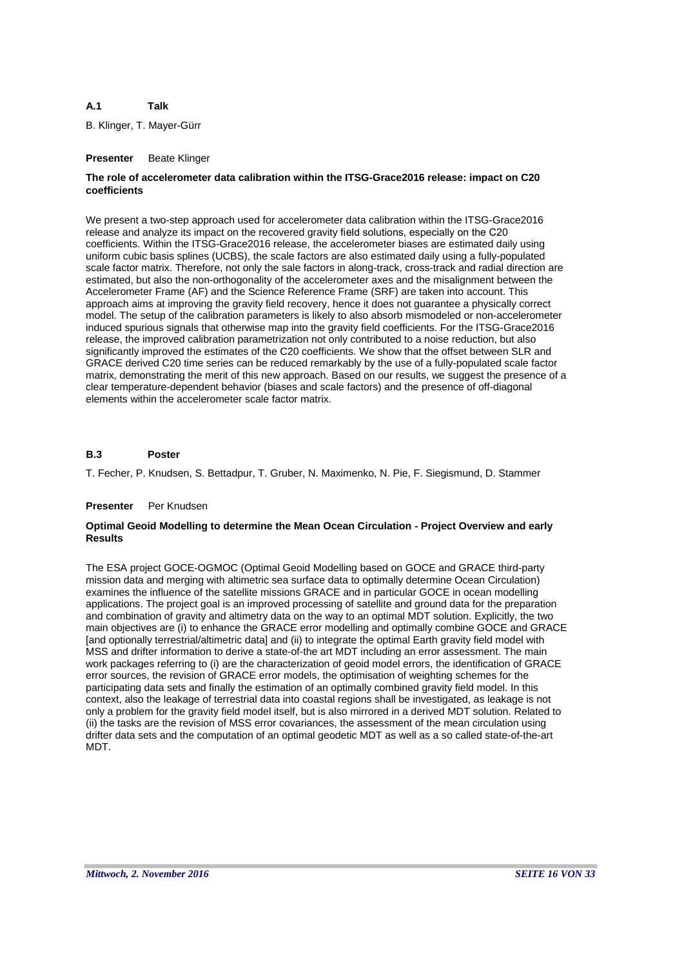### **A.1 Talk**

B. Klinger, T. Mayer-Gürr

# **Presenter** Beate Klinger

# **The role of accelerometer data calibration within the ITSG-Grace2016 release: impact on C20 coefficients**

We present a two-step approach used for accelerometer data calibration within the ITSG-Grace2016 release and analyze its impact on the recovered gravity field solutions, especially on the C20 coefficients. Within the ITSG-Grace2016 release, the accelerometer biases are estimated daily using uniform cubic basis splines (UCBS), the scale factors are also estimated daily using a fully-populated scale factor matrix. Therefore, not only the sale factors in along-track, cross-track and radial direction are estimated, but also the non-orthogonality of the accelerometer axes and the misalignment between the Accelerometer Frame (AF) and the Science Reference Frame (SRF) are taken into account. This approach aims at improving the gravity field recovery, hence it does not guarantee a physically correct model. The setup of the calibration parameters is likely to also absorb mismodeled or non-accelerometer induced spurious signals that otherwise map into the gravity field coefficients. For the ITSG-Grace2016 release, the improved calibration parametrization not only contributed to a noise reduction, but also significantly improved the estimates of the C20 coefficients. We show that the offset between SLR and GRACE derived C20 time series can be reduced remarkably by the use of a fully-populated scale factor matrix, demonstrating the merit of this new approach. Based on our results, we suggest the presence of a clear temperature-dependent behavior (biases and scale factors) and the presence of off-diagonal elements within the accelerometer scale factor matrix.

#### **B.3 Poster**

T. Fecher, P. Knudsen, S. Bettadpur, T. Gruber, N. Maximenko, N. Pie, F. Siegismund, D. Stammer

# **Presenter** Per Knudsen

# **Optimal Geoid Modelling to determine the Mean Ocean Circulation - Project Overview and early Results**

The ESA project GOCE-OGMOC (Optimal Geoid Modelling based on GOCE and GRACE third-party mission data and merging with altimetric sea surface data to optimally determine Ocean Circulation) examines the influence of the satellite missions GRACE and in particular GOCE in ocean modelling applications. The project goal is an improved processing of satellite and ground data for the preparation and combination of gravity and altimetry data on the way to an optimal MDT solution. Explicitly, the two main objectives are (i) to enhance the GRACE error modelling and optimally combine GOCE and GRACE [and optionally terrestrial/altimetric data] and (ii) to integrate the optimal Earth gravity field model with MSS and drifter information to derive a state-of-the art MDT including an error assessment. The main work packages referring to (i) are the characterization of geoid model errors, the identification of GRACE error sources, the revision of GRACE error models, the optimisation of weighting schemes for the participating data sets and finally the estimation of an optimally combined gravity field model. In this context, also the leakage of terrestrial data into coastal regions shall be investigated, as leakage is not only a problem for the gravity field model itself, but is also mirrored in a derived MDT solution. Related to (ii) the tasks are the revision of MSS error covariances, the assessment of the mean circulation using drifter data sets and the computation of an optimal geodetic MDT as well as a so called state-of-the-art MDT.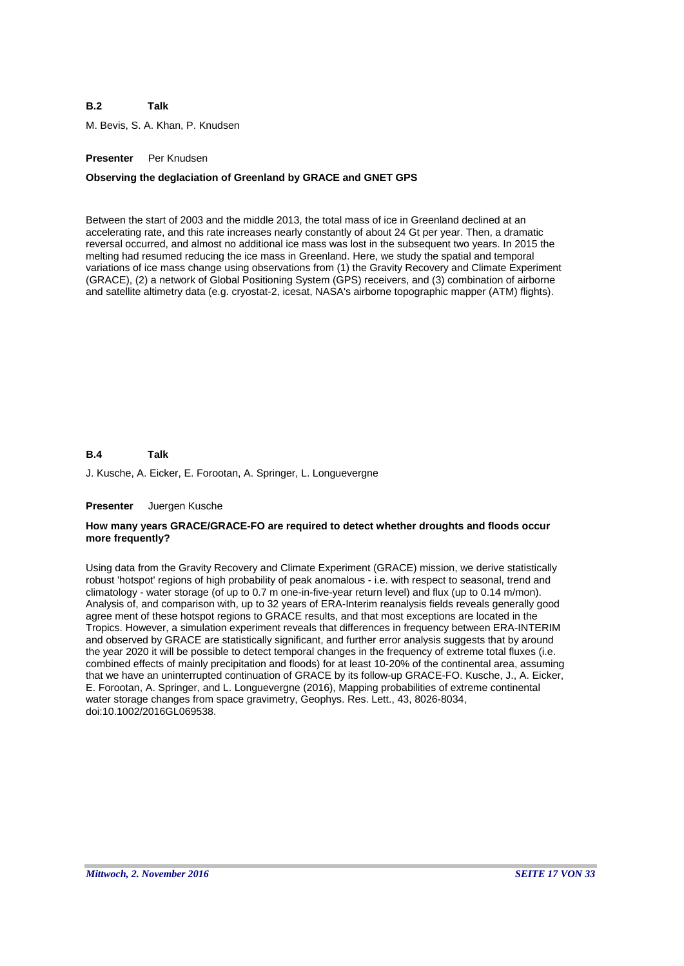### **B.2 Talk**

M. Bevis, S. A. Khan, P. Knudsen

# **Presenter** Per Knudsen

### **Observing the deglaciation of Greenland by GRACE and GNET GPS**

Between the start of 2003 and the middle 2013, the total mass of ice in Greenland declined at an accelerating rate, and this rate increases nearly constantly of about 24 Gt per year. Then, a dramatic reversal occurred, and almost no additional ice mass was lost in the subsequent two years. In 2015 the melting had resumed reducing the ice mass in Greenland. Here, we study the spatial and temporal variations of ice mass change using observations from (1) the Gravity Recovery and Climate Experiment (GRACE), (2) a network of Global Positioning System (GPS) receivers, and (3) combination of airborne and satellite altimetry data (e.g. cryostat-2, icesat, NASA's airborne topographic mapper (ATM) flights).

#### **B.4 Talk**

J. Kusche, A. Eicker, E. Forootan, A. Springer, L. Longuevergne

### **Presenter** Juergen Kusche

### **How many years GRACE/GRACE-FO are required to detect whether droughts and floods occur more frequently?**

Using data from the Gravity Recovery and Climate Experiment (GRACE) mission, we derive statistically robust 'hotspot' regions of high probability of peak anomalous - i.e. with respect to seasonal, trend and climatology - water storage (of up to 0.7 m one-in-five-year return level) and flux (up to 0.14 m/mon). Analysis of, and comparison with, up to 32 years of ERA-Interim reanalysis fields reveals generally good agree ment of these hotspot regions to GRACE results, and that most exceptions are located in the Tropics. However, a simulation experiment reveals that differences in frequency between ERA-INTERIM and observed by GRACE are statistically significant, and further error analysis suggests that by around the year 2020 it will be possible to detect temporal changes in the frequency of extreme total fluxes (i.e. combined effects of mainly precipitation and floods) for at least 10-20% of the continental area, assuming that we have an uninterrupted continuation of GRACE by its follow-up GRACE-FO. Kusche, J., A. Eicker, E. Forootan, A. Springer, and L. Longuevergne (2016), Mapping probabilities of extreme continental water storage changes from space gravimetry, Geophys. Res. Lett., 43, 8026-8034, doi:10.1002/2016GL069538.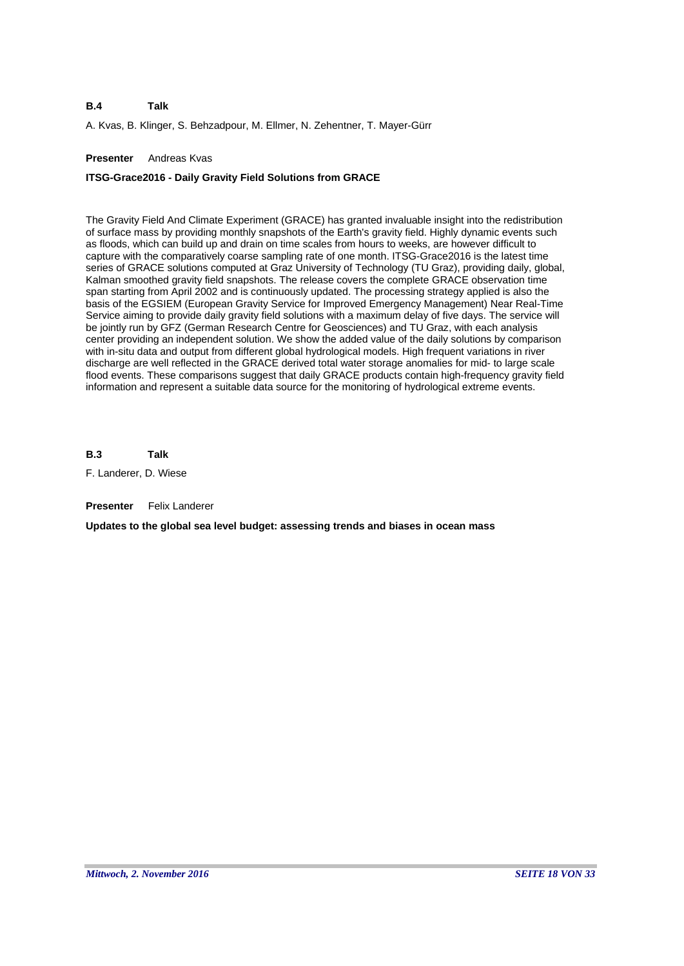A. Kvas, B. Klinger, S. Behzadpour, M. Ellmer, N. Zehentner, T. Mayer-Gürr

# **Presenter** Andreas Kvas

# **ITSG-Grace2016 - Daily Gravity Field Solutions from GRACE**

The Gravity Field And Climate Experiment (GRACE) has granted invaluable insight into the redistribution of surface mass by providing monthly snapshots of the Earth's gravity field. Highly dynamic events such as floods, which can build up and drain on time scales from hours to weeks, are however difficult to capture with the comparatively coarse sampling rate of one month. ITSG-Grace2016 is the latest time series of GRACE solutions computed at Graz University of Technology (TU Graz), providing daily, global, Kalman smoothed gravity field snapshots. The release covers the complete GRACE observation time span starting from April 2002 and is continuously updated. The processing strategy applied is also the basis of the EGSIEM (European Gravity Service for Improved Emergency Management) Near Real-Time Service aiming to provide daily gravity field solutions with a maximum delay of five days. The service will be jointly run by GFZ (German Research Centre for Geosciences) and TU Graz, with each analysis center providing an independent solution. We show the added value of the daily solutions by comparison with in-situ data and output from different global hydrological models. High frequent variations in river discharge are well reflected in the GRACE derived total water storage anomalies for mid- to large scale flood events. These comparisons suggest that daily GRACE products contain high-frequency gravity field information and represent a suitable data source for the monitoring of hydrological extreme events.

**B.3 Talk**

F. Landerer, D. Wiese

**Presenter** Felix Landerer

**Updates to the global sea level budget: assessing trends and biases in ocean mass**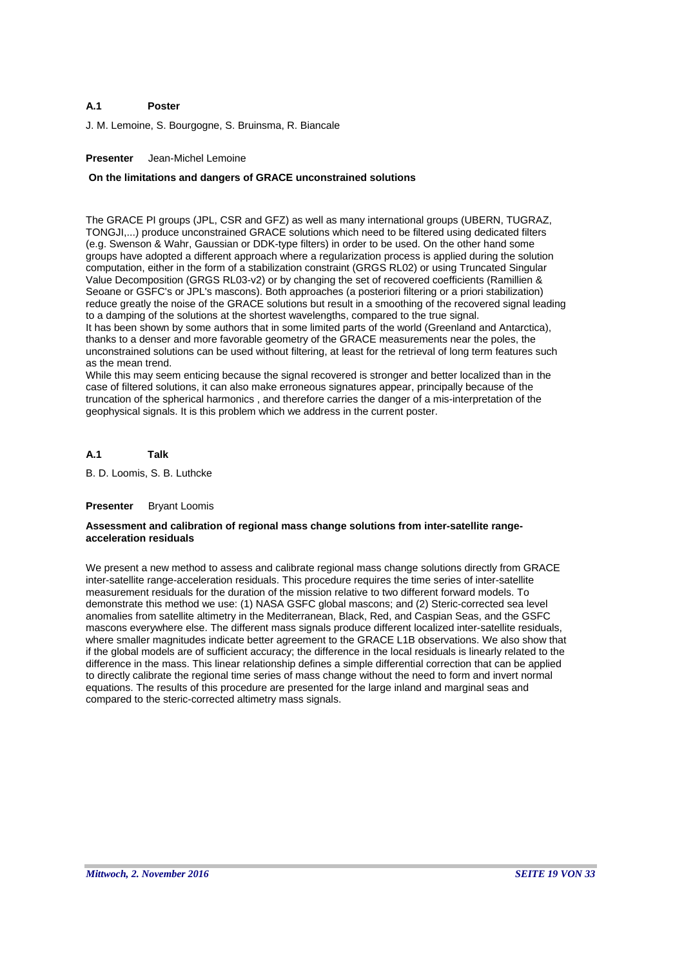### **A.1 Poster**

J. M. Lemoine, S. Bourgogne, S. Bruinsma, R. Biancale

# **Presenter** Jean-Michel Lemoine

### **On the limitations and dangers of GRACE unconstrained solutions**

The GRACE PI groups (JPL, CSR and GFZ) as well as many international groups (UBERN, TUGRAZ, TONGJI,...) produce unconstrained GRACE solutions which need to be filtered using dedicated filters (e.g. Swenson & Wahr, Gaussian or DDK-type filters) in order to be used. On the other hand some groups have adopted a different approach where a regularization process is applied during the solution computation, either in the form of a stabilization constraint (GRGS RL02) or using Truncated Singular Value Decomposition (GRGS RL03-v2) or by changing the set of recovered coefficients (Ramillien & Seoane or GSFC's or JPL's mascons). Both approaches (a posteriori filtering or a priori stabilization) reduce greatly the noise of the GRACE solutions but result in a smoothing of the recovered signal leading to a damping of the solutions at the shortest wavelengths, compared to the true signal. It has been shown by some authors that in some limited parts of the world (Greenland and Antarctica),

thanks to a denser and more favorable geometry of the GRACE measurements near the poles, the unconstrained solutions can be used without filtering, at least for the retrieval of long term features such as the mean trend.

While this may seem enticing because the signal recovered is stronger and better localized than in the case of filtered solutions, it can also make erroneous signatures appear, principally because of the truncation of the spherical harmonics , and therefore carries the danger of a mis-interpretation of the geophysical signals. It is this problem which we address in the current poster.

#### **A.1 Talk**

B. D. Loomis, S. B. Luthcke

### **Presenter** Bryant Loomis

# **Assessment and calibration of regional mass change solutions from inter-satellite rangeacceleration residuals**

We present a new method to assess and calibrate regional mass change solutions directly from GRACE inter-satellite range-acceleration residuals. This procedure requires the time series of inter-satellite measurement residuals for the duration of the mission relative to two different forward models. To demonstrate this method we use: (1) NASA GSFC global mascons; and (2) Steric-corrected sea level anomalies from satellite altimetry in the Mediterranean, Black, Red, and Caspian Seas, and the GSFC mascons everywhere else. The different mass signals produce different localized inter-satellite residuals, where smaller magnitudes indicate better agreement to the GRACE L1B observations. We also show that if the global models are of sufficient accuracy; the difference in the local residuals is linearly related to the difference in the mass. This linear relationship defines a simple differential correction that can be applied to directly calibrate the regional time series of mass change without the need to form and invert normal equations. The results of this procedure are presented for the large inland and marginal seas and compared to the steric-corrected altimetry mass signals.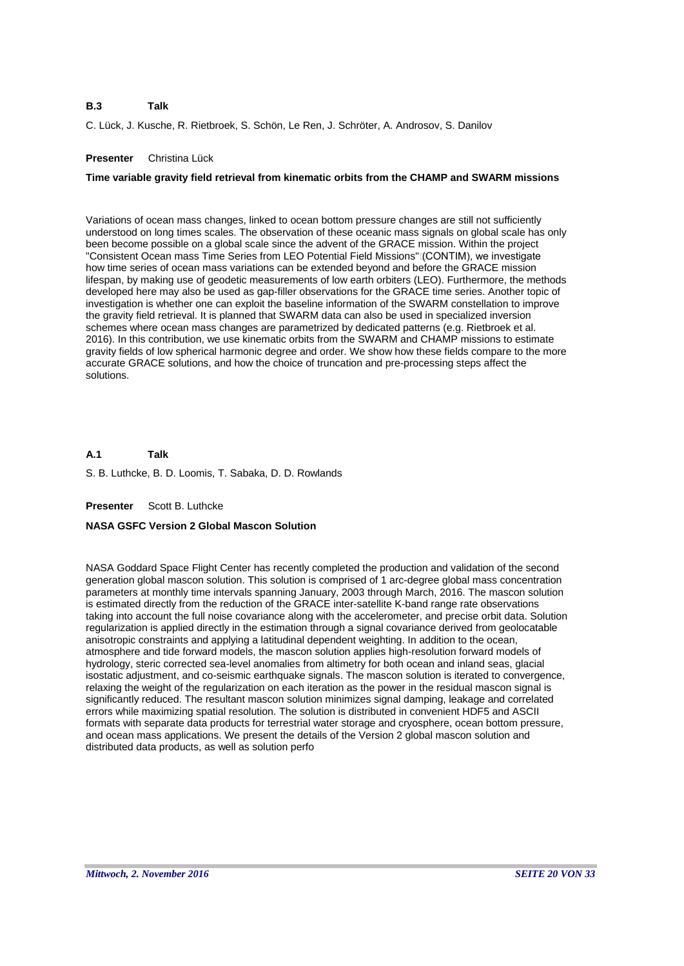### **B.3 Talk**

C. Lück, J. Kusche, R. Rietbroek, S. Schön, Le Ren, J. Schröter, A. Androsov, S. Danilov

# **Presenter** Christina Lück

# **Time variable gravity field retrieval from kinematic orbits from the CHAMP and SWARM missions**

Variations of ocean mass changes, linked to ocean bottom pressure changes are still not sufficiently understood on long times scales. The observation of these oceanic mass signals on global scale has only been become possible on a global scale since the advent of the GRACE mission. Within the project "Consistent Ocean mass Time Series from LEO Potential Field Missions" (CONTIM), we investigate how time series of ocean mass variations can be extended beyond and before the GRACE mission lifespan, by making use of geodetic measurements of low earth orbiters (LEO). Furthermore, the methods developed here may also be used as gap-filler observations for the GRACE time series. Another topic of investigation is whether one can exploit the baseline information of the SWARM constellation to improve the gravity field retrieval. It is planned that SWARM data can also be used in specialized inversion schemes where ocean mass changes are parametrized by dedicated patterns (e.g. Rietbroek et al. 2016). In this contribution, we use kinematic orbits from the SWARM and CHAMP missions to estimate gravity fields of low spherical harmonic degree and order. We show how these fields compare to the more accurate GRACE solutions, and how the choice of truncation and pre-processing steps affect the solutions.

#### **A.1 Talk**

S. B. Luthcke, B. D. Loomis, T. Sabaka, D. D. Rowlands

**Presenter** Scott B. Luthcke

# **NASA GSFC Version 2 Global Mascon Solution**

NASA Goddard Space Flight Center has recently completed the production and validation of the second generation global mascon solution. This solution is comprised of 1 arc-degree global mass concentration parameters at monthly time intervals spanning January, 2003 through March, 2016. The mascon solution is estimated directly from the reduction of the GRACE inter-satellite K-band range rate observations taking into account the full noise covariance along with the accelerometer, and precise orbit data. Solution regularization is applied directly in the estimation through a signal covariance derived from geolocatable anisotropic constraints and applying a latitudinal dependent weighting. In addition to the ocean, atmosphere and tide forward models, the mascon solution applies high-resolution forward models of hydrology, steric corrected sea-level anomalies from altimetry for both ocean and inland seas, glacial isostatic adjustment, and co-seismic earthquake signals. The mascon solution is iterated to convergence, relaxing the weight of the regularization on each iteration as the power in the residual mascon signal is significantly reduced. The resultant mascon solution minimizes signal damping, leakage and correlated errors while maximizing spatial resolution. The solution is distributed in convenient HDF5 and ASCII formats with separate data products for terrestrial water storage and cryosphere, ocean bottom pressure, and ocean mass applications. We present the details of the Version 2 global mascon solution and distributed data products, as well as solution perfo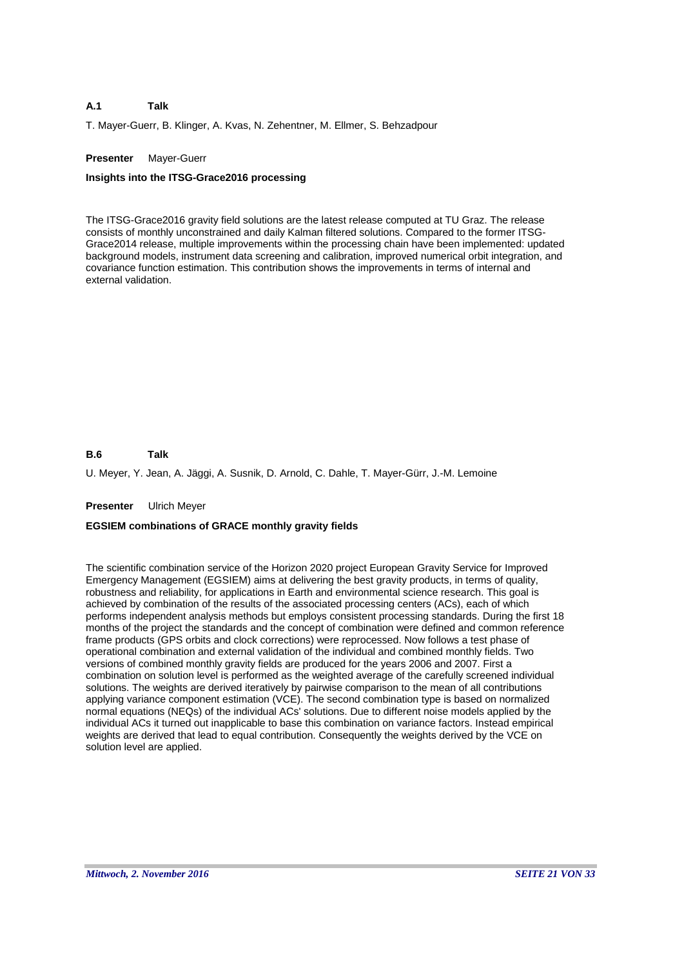### **A.1 Talk**

T. Mayer-Guerr, B. Klinger, A. Kvas, N. Zehentner, M. Ellmer, S. Behzadpour

# **Presenter** Mayer-Guerr

### **Insights into the ITSG-Grace2016 processing**

The ITSG-Grace2016 gravity field solutions are the latest release computed at TU Graz. The release consists of monthly unconstrained and daily Kalman filtered solutions. Compared to the former ITSG-Grace2014 release, multiple improvements within the processing chain have been implemented: updated background models, instrument data screening and calibration, improved numerical orbit integration, and covariance function estimation. This contribution shows the improvements in terms of internal and external validation.

#### **B.6 Talk**

U. Meyer, Y. Jean, A. Jäggi, A. Susnik, D. Arnold, C. Dahle, T. Mayer-Gürr, J.-M. Lemoine

### **Presenter** Ulrich Meyer

# **EGSIEM combinations of GRACE monthly gravity fields**

The scientific combination service of the Horizon 2020 project European Gravity Service for Improved Emergency Management (EGSIEM) aims at delivering the best gravity products, in terms of quality, robustness and reliability, for applications in Earth and environmental science research. This goal is achieved by combination of the results of the associated processing centers (ACs), each of which performs independent analysis methods but employs consistent processing standards. During the first 18 months of the project the standards and the concept of combination were defined and common reference frame products (GPS orbits and clock corrections) were reprocessed. Now follows a test phase of operational combination and external validation of the individual and combined monthly fields. Two versions of combined monthly gravity fields are produced for the years 2006 and 2007. First a combination on solution level is performed as the weighted average of the carefully screened individual solutions. The weights are derived iteratively by pairwise comparison to the mean of all contributions applying variance component estimation (VCE). The second combination type is based on normalized normal equations (NEQs) of the individual ACs' solutions. Due to different noise models applied by the individual ACs it turned out inapplicable to base this combination on variance factors. Instead empirical weights are derived that lead to equal contribution. Consequently the weights derived by the VCE on solution level are applied.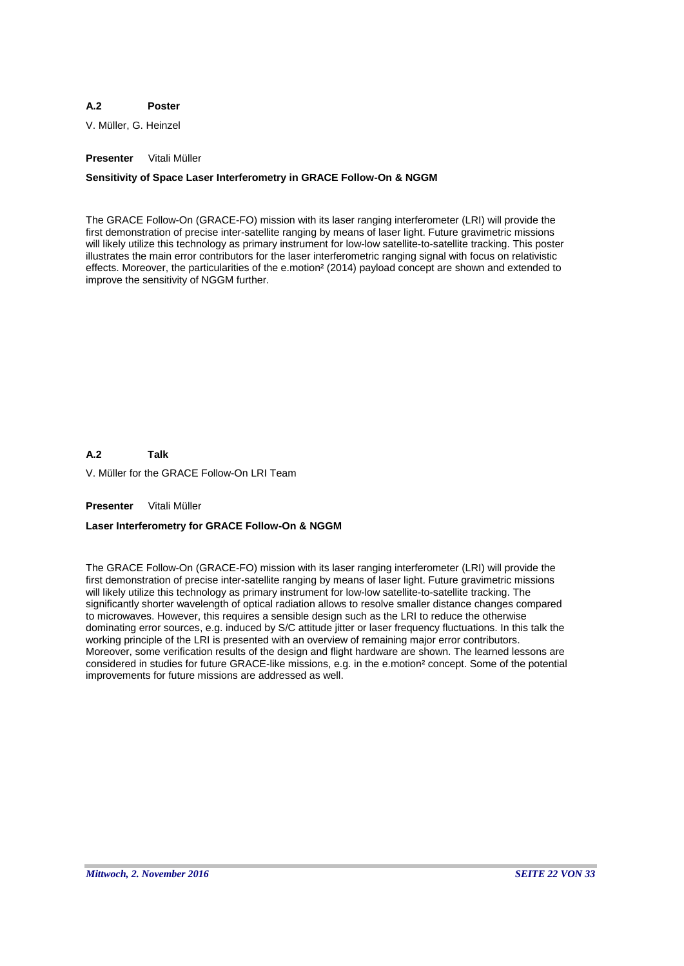### **A.2 Poster**

V. Müller, G. Heinzel

# **Presenter** Vitali Müller

# **Sensitivity of Space Laser Interferometry in GRACE Follow-On & NGGM**

The GRACE Follow-On (GRACE-FO) mission with its laser ranging interferometer (LRI) will provide the first demonstration of precise inter-satellite ranging by means of laser light. Future gravimetric missions will likely utilize this technology as primary instrument for low-low satellite-to-satellite tracking. This poster illustrates the main error contributors for the laser interferometric ranging signal with focus on relativistic effects. Moreover, the particularities of the e.motion² (2014) payload concept are shown and extended to improve the sensitivity of NGGM further.

**A.2 Talk**

V. Müller for the GRACE Follow-On LRI Team

**Presenter** Vitali Müller

# **Laser Interferometry for GRACE Follow-On & NGGM**

The GRACE Follow-On (GRACE-FO) mission with its laser ranging interferometer (LRI) will provide the first demonstration of precise inter-satellite ranging by means of laser light. Future gravimetric missions will likely utilize this technology as primary instrument for low-low satellite-to-satellite tracking. The significantly shorter wavelength of optical radiation allows to resolve smaller distance changes compared to microwaves. However, this requires a sensible design such as the LRI to reduce the otherwise dominating error sources, e.g. induced by S/C attitude jitter or laser frequency fluctuations. In this talk the working principle of the LRI is presented with an overview of remaining major error contributors. Moreover, some verification results of the design and flight hardware are shown. The learned lessons are considered in studies for future GRACE-like missions, e.g. in the e.motion² concept. Some of the potential improvements for future missions are addressed as well.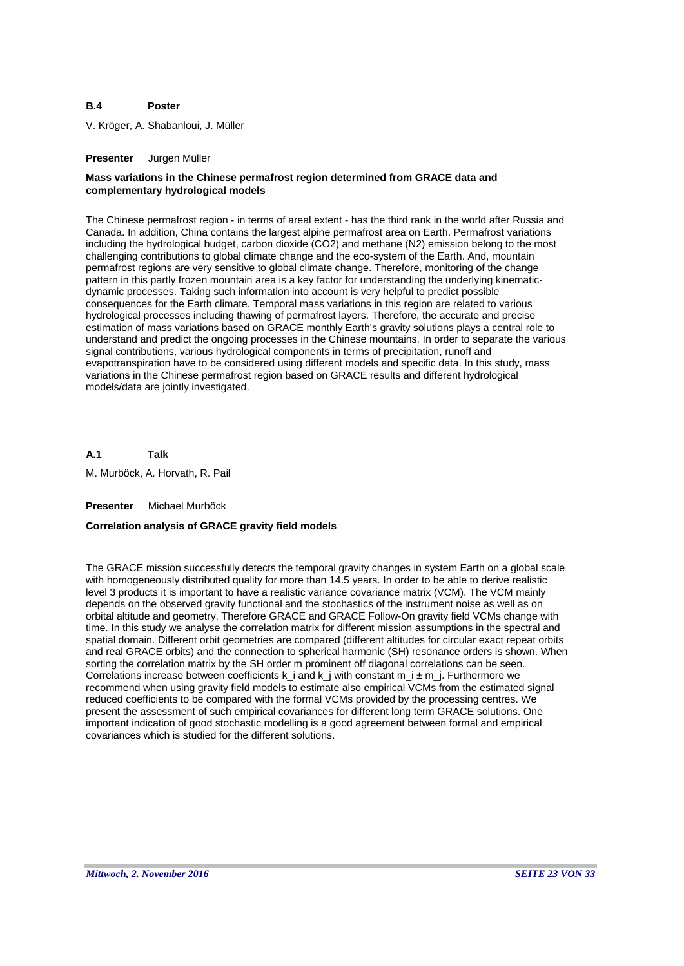### **B.4 Poster**

V. Kröger, A. Shabanloui, J. Müller

### **Presenter** Jürgen Müller

# **Mass variations in the Chinese permafrost region determined from GRACE data and complementary hydrological models**

The Chinese permafrost region - in terms of areal extent - has the third rank in the world after Russia and Canada. In addition, China contains the largest alpine permafrost area on Earth. Permafrost variations including the hydrological budget, carbon dioxide (CO2) and methane (N2) emission belong to the most challenging contributions to global climate change and the eco-system of the Earth. And, mountain permafrost regions are very sensitive to global climate change. Therefore, monitoring of the change pattern in this partly frozen mountain area is a key factor for understanding the underlying kinematicdynamic processes. Taking such information into account is very helpful to predict possible consequences for the Earth climate. Temporal mass variations in this region are related to various hydrological processes including thawing of permafrost layers. Therefore, the accurate and precise estimation of mass variations based on GRACE monthly Earth's gravity solutions plays a central role to understand and predict the ongoing processes in the Chinese mountains. In order to separate the various signal contributions, various hydrological components in terms of precipitation, runoff and evapotranspiration have to be considered using different models and specific data. In this study, mass variations in the Chinese permafrost region based on GRACE results and different hydrological models/data are jointly investigated.

**A.1** M. Murböck, A. Horvath, R. Pail **Talk**

**Presenter** Michael Murböck

# **Correlation analysis of GRACE gravity field models**

The GRACE mission successfully detects the temporal gravity changes in system Earth on a global scale with homogeneously distributed quality for more than 14.5 years. In order to be able to derive realistic level 3 products it is important to have a realistic variance covariance matrix (VCM). The VCM mainly depends on the observed gravity functional and the stochastics of the instrument noise as well as on orbital altitude and geometry. Therefore GRACE and GRACE Follow-On gravity field VCMs change with time. In this study we analyse the correlation matrix for different mission assumptions in the spectral and spatial domain. Different orbit geometries are compared (different altitudes for circular exact repeat orbits and real GRACE orbits) and the connection to spherical harmonic (SH) resonance orders is shown. When sorting the correlation matrix by the SH order m prominent off diagonal correlations can be seen. Correlations increase between coefficients k\_i and k\_j with constant  $m_i \pm m_j$ . Furthermore we recommend when using gravity field models to estimate also empirical VCMs from the estimated signal reduced coefficients to be compared with the formal VCMs provided by the processing centres. We present the assessment of such empirical covariances for different long term GRACE solutions. One important indication of good stochastic modelling is a good agreement between formal and empirical covariances which is studied for the different solutions.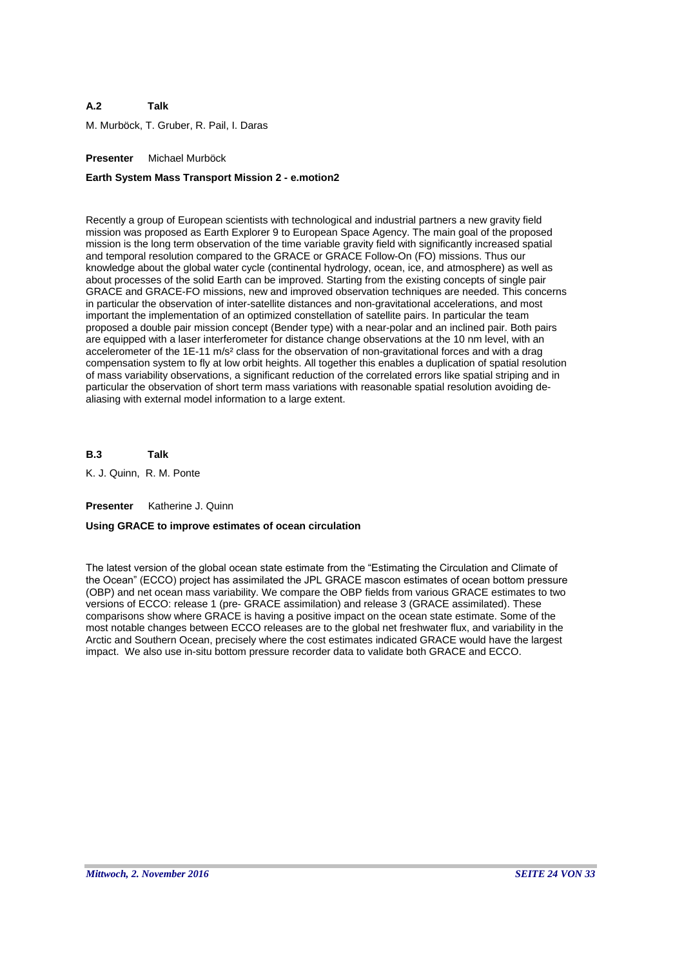### **A.2 Talk**

M. Murböck, T. Gruber, R. Pail, I. Daras

# **Presenter** Michael Murböck

# **Earth System Mass Transport Mission 2 - e.motion2**

Recently a group of European scientists with technological and industrial partners a new gravity field mission was proposed as Earth Explorer 9 to European Space Agency. The main goal of the proposed mission is the long term observation of the time variable gravity field with significantly increased spatial and temporal resolution compared to the GRACE or GRACE Follow-On (FO) missions. Thus our knowledge about the global water cycle (continental hydrology, ocean, ice, and atmosphere) as well as about processes of the solid Earth can be improved. Starting from the existing concepts of single pair GRACE and GRACE-FO missions, new and improved observation techniques are needed. This concerns in particular the observation of inter-satellite distances and non-gravitational accelerations, and most important the implementation of an optimized constellation of satellite pairs. In particular the team proposed a double pair mission concept (Bender type) with a near-polar and an inclined pair. Both pairs are equipped with a laser interferometer for distance change observations at the 10 nm level, with an accelerometer of the 1E-11 m/s² class for the observation of non-gravitational forces and with a drag compensation system to fly at low orbit heights. All together this enables a duplication of spatial resolution of mass variability observations, a significant reduction of the correlated errors like spatial striping and in particular the observation of short term mass variations with reasonable spatial resolution avoiding dealiasing with external model information to a large extent.

**B.3 Talk**

K. J. Quinn, R. M. Ponte

**Presenter** Katherine J. Quinn

# **Using GRACE to improve estimates of ocean circulation**

The latest version of the global ocean state estimate from the "Estimating the Circulation and Climate of the Ocean" (ECCO) project has assimilated the JPL GRACE mascon estimates of ocean bottom pressure (OBP) and net ocean mass variability. We compare the OBP fields from various GRACE estimates to two versions of ECCO: release 1 (pre- GRACE assimilation) and release 3 (GRACE assimilated). These comparisons show where GRACE is having a positive impact on the ocean state estimate. Some of the most notable changes between ECCO releases are to the global net freshwater flux, and variability in the Arctic and Southern Ocean, precisely where the cost estimates indicated GRACE would have the largest impact. We also use in-situ bottom pressure recorder data to validate both GRACE and ECCO.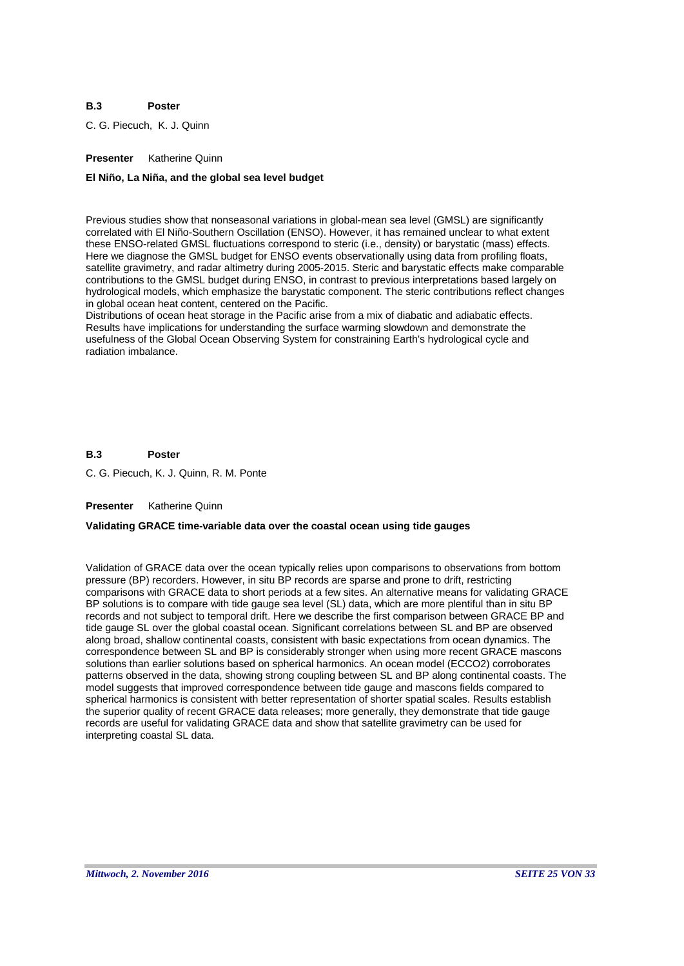### **B.3 Poster**

C. G. Piecuch, K. J. Quinn

# **Presenter** Katherine Quinn

### **El Niño, La Niña, and the global sea level budget**

Previous studies show that nonseasonal variations in global-mean sea level (GMSL) are significantly correlated with El Niño-Southern Oscillation (ENSO). However, it has remained unclear to what extent these ENSO-related GMSL fluctuations correspond to steric (i.e., density) or barystatic (mass) effects. Here we diagnose the GMSL budget for ENSO events observationally using data from profiling floats, satellite gravimetry, and radar altimetry during 2005-2015. Steric and barystatic effects make comparable contributions to the GMSL budget during ENSO, in contrast to previous interpretations based largely on hydrological models, which emphasize the barystatic component. The steric contributions reflect changes in global ocean heat content, centered on the Pacific.

Distributions of ocean heat storage in the Pacific arise from a mix of diabatic and adiabatic effects. Results have implications for understanding the surface warming slowdown and demonstrate the usefulness of the Global Ocean Observing System for constraining Earth's hydrological cycle and radiation imbalance.

#### **B.3 Poster**

C. G. Piecuch, K. J. Quinn, R. M. Ponte

### **Presenter** Katherine Quinn

# **Validating GRACE time-variable data over the coastal ocean using tide gauges**

Validation of GRACE data over the ocean typically relies upon comparisons to observations from bottom pressure (BP) recorders. However, in situ BP records are sparse and prone to drift, restricting comparisons with GRACE data to short periods at a few sites. An alternative means for validating GRACE BP solutions is to compare with tide gauge sea level (SL) data, which are more plentiful than in situ BP records and not subject to temporal drift. Here we describe the first comparison between GRACE BP and tide gauge SL over the global coastal ocean. Significant correlations between SL and BP are observed along broad, shallow continental coasts, consistent with basic expectations from ocean dynamics. The correspondence between SL and BP is considerably stronger when using more recent GRACE mascons solutions than earlier solutions based on spherical harmonics. An ocean model (ECCO2) corroborates patterns observed in the data, showing strong coupling between SL and BP along continental coasts. The model suggests that improved correspondence between tide gauge and mascons fields compared to spherical harmonics is consistent with better representation of shorter spatial scales. Results establish the superior quality of recent GRACE data releases; more generally, they demonstrate that tide gauge records are useful for validating GRACE data and show that satellite gravimetry can be used for interpreting coastal SL data.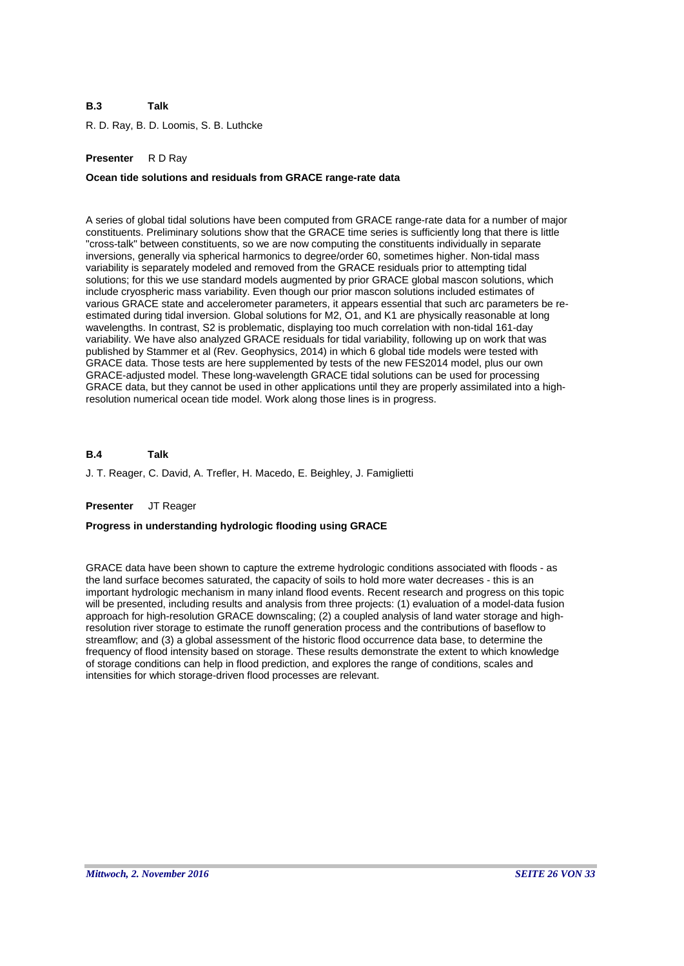### **B.3 Talk**

R. D. Ray, B. D. Loomis, S. B. Luthcke

# **Presenter** R D Ray

# **Ocean tide solutions and residuals from GRACE range-rate data**

A series of global tidal solutions have been computed from GRACE range-rate data for a number of major constituents. Preliminary solutions show that the GRACE time series is sufficiently long that there is little "cross-talk" between constituents, so we are now computing the constituents individually in separate inversions, generally via spherical harmonics to degree/order 60, sometimes higher. Non-tidal mass variability is separately modeled and removed from the GRACE residuals prior to attempting tidal solutions; for this we use standard models augmented by prior GRACE global mascon solutions, which include cryospheric mass variability. Even though our prior mascon solutions included estimates of various GRACE state and accelerometer parameters, it appears essential that such arc parameters be reestimated during tidal inversion. Global solutions for M2, O1, and K1 are physically reasonable at long wavelengths. In contrast, S2 is problematic, displaying too much correlation with non-tidal 161-day variability. We have also analyzed GRACE residuals for tidal variability, following up on work that was published by Stammer et al (Rev. Geophysics, 2014) in which 6 global tide models were tested with GRACE data. Those tests are here supplemented by tests of the new FES2014 model, plus our own GRACE-adjusted model. These long-wavelength GRACE tidal solutions can be used for processing GRACE data, but they cannot be used in other applications until they are properly assimilated into a highresolution numerical ocean tide model. Work along those lines is in progress.

#### **B.4 Talk**

J. T. Reager, C. David, A. Trefler, H. Macedo, E. Beighley, J. Famiglietti

# **Presenter** JT Reager

# **Progress in understanding hydrologic flooding using GRACE**

GRACE data have been shown to capture the extreme hydrologic conditions associated with floods - as the land surface becomes saturated, the capacity of soils to hold more water decreases - this is an important hydrologic mechanism in many inland flood events. Recent research and progress on this topic will be presented, including results and analysis from three projects: (1) evaluation of a model-data fusion approach for high-resolution GRACE downscaling; (2) a coupled analysis of land water storage and highresolution river storage to estimate the runoff generation process and the contributions of baseflow to streamflow; and (3) a global assessment of the historic flood occurrence data base, to determine the frequency of flood intensity based on storage. These results demonstrate the extent to which knowledge of storage conditions can help in flood prediction, and explores the range of conditions, scales and intensities for which storage-driven flood processes are relevant.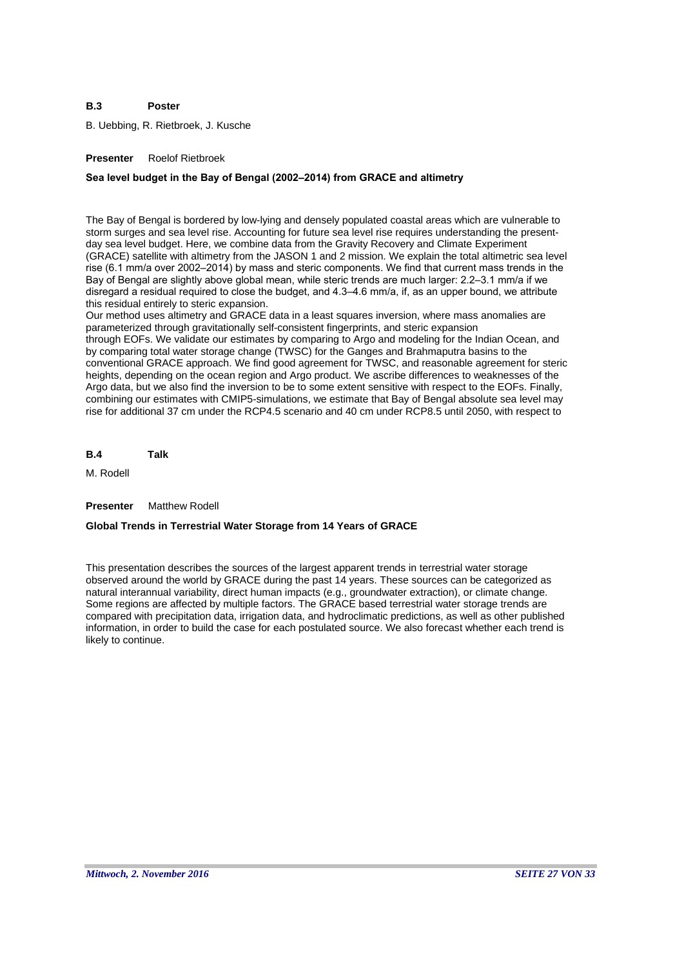### **B.3 Poster**

B. Uebbing, R. Rietbroek, J. Kusche

# **Presenter** Roelof Rietbroek

# **Sea level budget in the Bay of Bengal (2002–2014) from GRACE and altimetry**

The Bay of Bengal is bordered by low-lying and densely populated coastal areas which are vulnerable to storm surges and sea level rise. Accounting for future sea level rise requires understanding the presentday sea level budget. Here, we combine data from the Gravity Recovery and Climate Experiment (GRACE) satellite with altimetry from the JASON 1 and 2 mission. We explain the total altimetric sea level rise (6.1 mm/a over 2002–2014) by mass and steric components. We find that current mass trends in the Bay of Bengal are slightly above global mean, while steric trends are much larger: 2.2–3.1 mm/a if we disregard a residual required to close the budget, and 4.3–4.6 mm/a, if, as an upper bound, we attribute this residual entirely to steric expansion.

Our method uses altimetry and GRACE data in a least squares inversion, where mass anomalies are parameterized through gravitationally self-consistent fingerprints, and steric expansion through EOFs. We validate our estimates by comparing to Argo and modeling for the Indian Ocean, and by comparing total water storage change (TWSC) for the Ganges and Brahmaputra basins to the conventional GRACE approach. We find good agreement for TWSC, and reasonable agreement for steric heights, depending on the ocean region and Argo product. We ascribe differences to weaknesses of the Argo data, but we also find the inversion to be to some extent sensitive with respect to the EOFs. Finally, combining our estimates with CMIP5-simulations, we estimate that Bay of Bengal absolute sea level may rise for additional 37 cm under the RCP4.5 scenario and 40 cm under RCP8.5 until 2050, with respect to

**B.4 Talk**

M. Rodell

### **Presenter** Matthew Rodell

# **Global Trends in Terrestrial Water Storage from 14 Years of GRACE**

This presentation describes the sources of the largest apparent trends in terrestrial water storage observed around the world by GRACE during the past 14 years. These sources can be categorized as natural interannual variability, direct human impacts (e.g., groundwater extraction), or climate change. Some regions are affected by multiple factors. The GRACE based terrestrial water storage trends are compared with precipitation data, irrigation data, and hydroclimatic predictions, as well as other published information, in order to build the case for each postulated source. We also forecast whether each trend is likely to continue.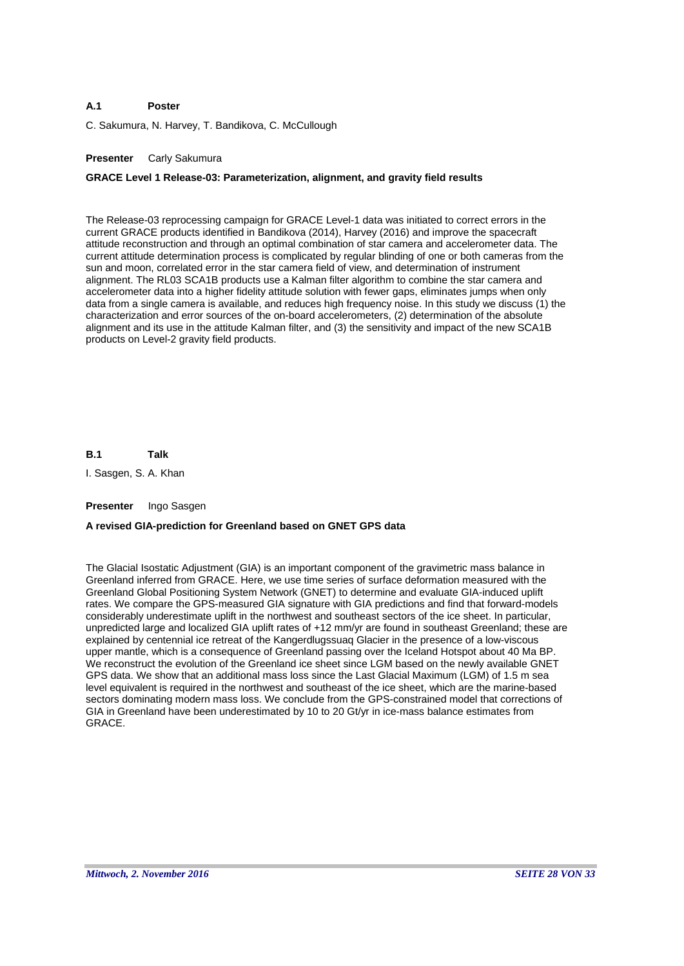#### **A.1 Poster**

C. Sakumura, N. Harvey, T. Bandikova, C. McCullough

# **Presenter** Carly Sakumura

# **GRACE Level 1 Release-03: Parameterization, alignment, and gravity field results**

The Release-03 reprocessing campaign for GRACE Level-1 data was initiated to correct errors in the current GRACE products identified in Bandikova (2014), Harvey (2016) and improve the spacecraft attitude reconstruction and through an optimal combination of star camera and accelerometer data. The current attitude determination process is complicated by regular blinding of one or both cameras from the sun and moon, correlated error in the star camera field of view, and determination of instrument alignment. The RL03 SCA1B products use a Kalman filter algorithm to combine the star camera and accelerometer data into a higher fidelity attitude solution with fewer gaps, eliminates jumps when only data from a single camera is available, and reduces high frequency noise. In this study we discuss (1) the characterization and error sources of the on-board accelerometers, (2) determination of the absolute alignment and its use in the attitude Kalman filter, and (3) the sensitivity and impact of the new SCA1B products on Level-2 gravity field products.

**B.1 Talk**

I. Sasgen, S. A. Khan

### **Presenter** Ingo Sasgen

# **A revised GIA-prediction for Greenland based on GNET GPS data**

The Glacial Isostatic Adjustment (GIA) is an important component of the gravimetric mass balance in Greenland inferred from GRACE. Here, we use time series of surface deformation measured with the Greenland Global Positioning System Network (GNET) to determine and evaluate GIA-induced uplift rates. We compare the GPS-measured GIA signature with GIA predictions and find that forward-models considerably underestimate uplift in the northwest and southeast sectors of the ice sheet. In particular, unpredicted large and localized GIA uplift rates of +12 mm/yr are found in southeast Greenland; these are explained by centennial ice retreat of the Kangerdlugssuaq Glacier in the presence of a low-viscous upper mantle, which is a consequence of Greenland passing over the Iceland Hotspot about 40 Ma BP. We reconstruct the evolution of the Greenland ice sheet since LGM based on the newly available GNET GPS data. We show that an additional mass loss since the Last Glacial Maximum (LGM) of 1.5 m sea level equivalent is required in the northwest and southeast of the ice sheet, which are the marine-based sectors dominating modern mass loss. We conclude from the GPS-constrained model that corrections of GIA in Greenland have been underestimated by 10 to 20 Gt/yr in ice-mass balance estimates from GRACE.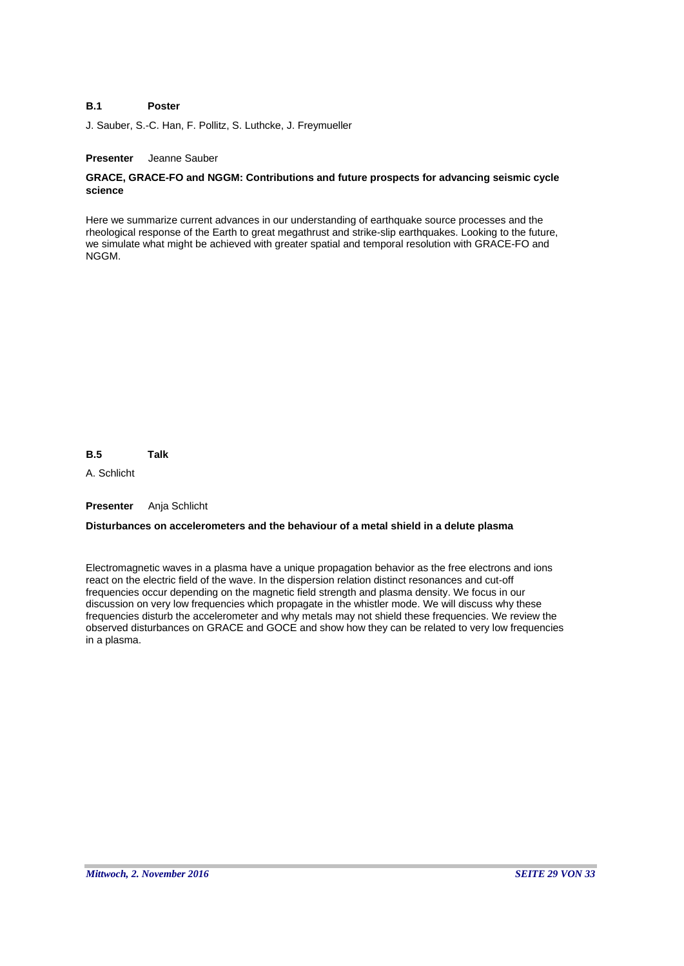#### **B.1 Poster**

J. Sauber, S.-C. Han, F. Pollitz, S. Luthcke, J. Freymueller

# **Presenter** Jeanne Sauber

# **GRACE, GRACE-FO and NGGM: Contributions and future prospects for advancing seismic cycle science**

Here we summarize current advances in our understanding of earthquake source processes and the rheological response of the Earth to great megathrust and strike-slip earthquakes. Looking to the future, we simulate what might be achieved with greater spatial and temporal resolution with GRACE-FO and NGGM.

**B.5 Talk**

A. Schlicht

**Presenter** Anja Schlicht

# **Disturbances on accelerometers and the behaviour of a metal shield in a delute plasma**

Electromagnetic waves in a plasma have a unique propagation behavior as the free electrons and ions react on the electric field of the wave. In the dispersion relation distinct resonances and cut-off frequencies occur depending on the magnetic field strength and plasma density. We focus in our discussion on very low frequencies which propagate in the whistler mode. We will discuss why these frequencies disturb the accelerometer and why metals may not shield these frequencies. We review the observed disturbances on GRACE and GOCE and show how they can be related to very low frequencies in a plasma.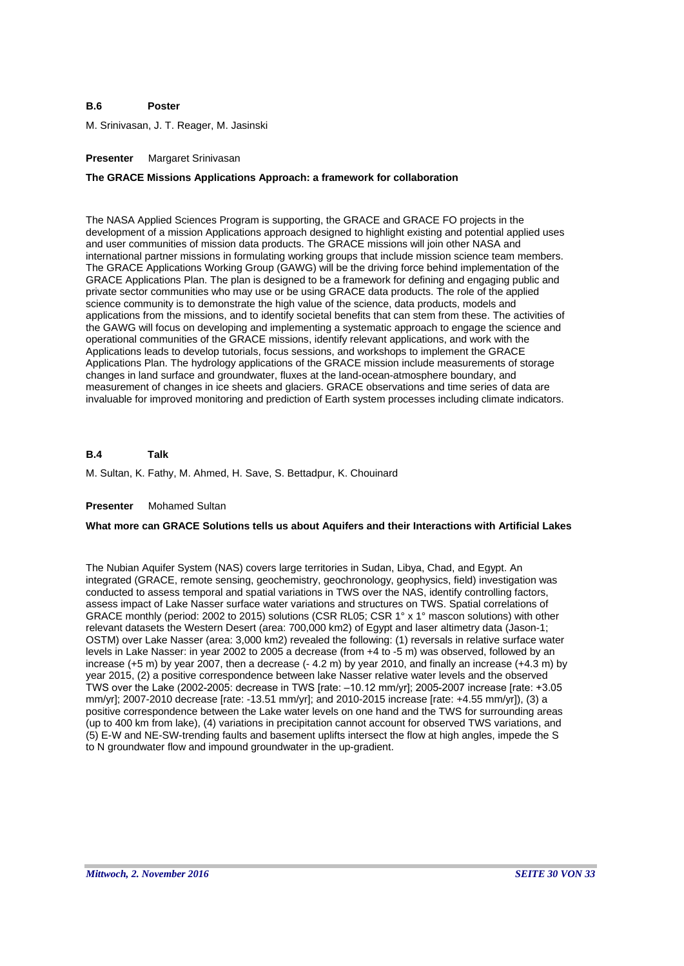#### **B.6 Poster**

M. Srinivasan, J. T. Reager, M. Jasinski

### **Presenter** Margaret Srinivasan

# **The GRACE Missions Applications Approach: a framework for collaboration**

The NASA Applied Sciences Program is supporting, the GRACE and GRACE FO projects in the development of a mission Applications approach designed to highlight existing and potential applied uses and user communities of mission data products. The GRACE missions will join other NASA and international partner missions in formulating working groups that include mission science team members. The GRACE Applications Working Group (GAWG) will be the driving force behind implementation of the GRACE Applications Plan. The plan is designed to be a framework for defining and engaging public and private sector communities who may use or be using GRACE data products. The role of the applied science community is to demonstrate the high value of the science, data products, models and applications from the missions, and to identify societal benefits that can stem from these. The activities of the GAWG will focus on developing and implementing a systematic approach to engage the science and operational communities of the GRACE missions, identify relevant applications, and work with the Applications leads to develop tutorials, focus sessions, and workshops to implement the GRACE Applications Plan. The hydrology applications of the GRACE mission include measurements of storage changes in land surface and groundwater, fluxes at the land-ocean-atmosphere boundary, and measurement of changes in ice sheets and glaciers. GRACE observations and time series of data are invaluable for improved monitoring and prediction of Earth system processes including climate indicators.

#### **B.4 Talk**

M. Sultan, K. Fathy, M. Ahmed, H. Save, S. Bettadpur, K. Chouinard

### **Presenter** Mohamed Sultan

# **What more can GRACE Solutions tells us about Aquifers and their Interactions with Artificial Lakes**

The Nubian Aquifer System (NAS) covers large territories in Sudan, Libya, Chad, and Egypt. An integrated (GRACE, remote sensing, geochemistry, geochronology, geophysics, field) investigation was conducted to assess temporal and spatial variations in TWS over the NAS, identify controlling factors, assess impact of Lake Nasser surface water variations and structures on TWS. Spatial correlations of GRACE monthly (period: 2002 to 2015) solutions (CSR RL05; CSR 1° x 1° mascon solutions) with other relevant datasets the Western Desert (area: 700,000 km2) of Egypt and laser altimetry data (Jason-1; OSTM) over Lake Nasser (area: 3,000 km2) revealed the following: (1) reversals in relative surface water levels in Lake Nasser: in year 2002 to 2005 a decrease (from +4 to -5 m) was observed, followed by an increase (+5 m) by year 2007, then a decrease (- 4.2 m) by year 2010, and finally an increase (+4.3 m) by year 2015, (2) a positive correspondence between lake Nasser relative water levels and the observed TWS over the Lake (2002-2005: decrease in TWS [rate: –10.12 mm/yr]; 2005-2007 increase [rate: +3.05 mm/yr]; 2007-2010 decrease [rate: -13.51 mm/yr]; and 2010-2015 increase [rate: +4.55 mm/yr]), (3) a positive correspondence between the Lake water levels on one hand and the TWS for surrounding areas (up to 400 km from lake), (4) variations in precipitation cannot account for observed TWS variations, and (5) E-W and NE-SW-trending faults and basement uplifts intersect the flow at high angles, impede the S to N groundwater flow and impound groundwater in the up-gradient.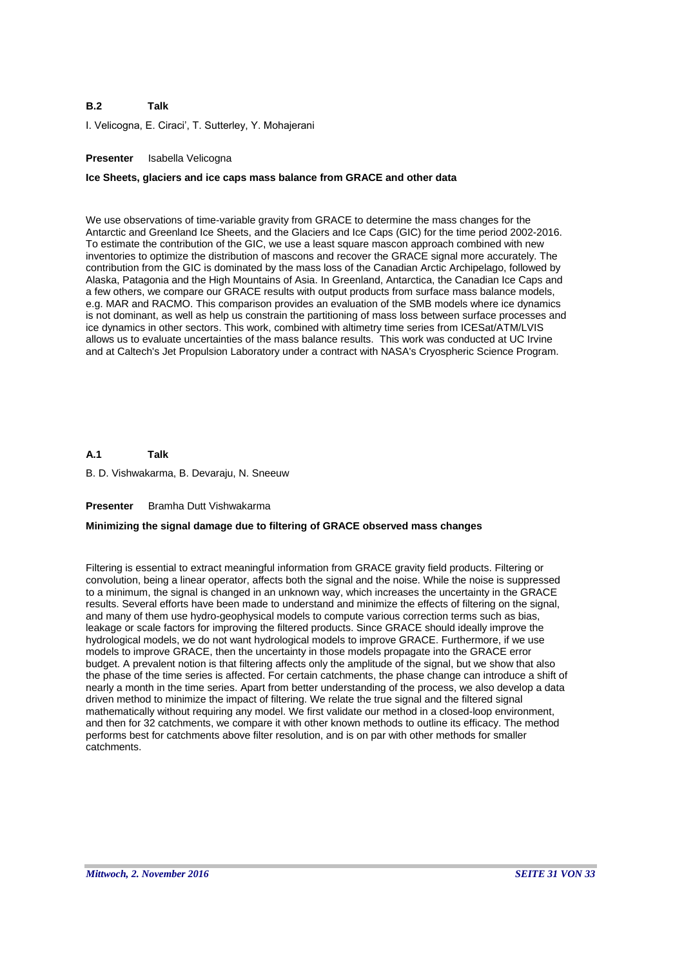### **B.2 Talk**

I. Velicogna, E. Ciraci', T. Sutterley, Y. Mohajerani

# **Presenter** Isabella Velicogna

### **Ice Sheets, glaciers and ice caps mass balance from GRACE and other data**

We use observations of time-variable gravity from GRACE to determine the mass changes for the Antarctic and Greenland Ice Sheets, and the Glaciers and Ice Caps (GIC) for the time period 2002-2016. To estimate the contribution of the GIC, we use a least square mascon approach combined with new inventories to optimize the distribution of mascons and recover the GRACE signal more accurately. The contribution from the GIC is dominated by the mass loss of the Canadian Arctic Archipelago, followed by Alaska, Patagonia and the High Mountains of Asia. In Greenland, Antarctica, the Canadian Ice Caps and a few others, we compare our GRACE results with output products from surface mass balance models, e.g. MAR and RACMO. This comparison provides an evaluation of the SMB models where ice dynamics is not dominant, as well as help us constrain the partitioning of mass loss between surface processes and ice dynamics in other sectors. This work, combined with altimetry time series from ICESat/ATM/LVIS allows us to evaluate uncertainties of the mass balance results. This work was conducted at UC Irvine and at Caltech's Jet Propulsion Laboratory under a contract with NASA's Cryospheric Science Program.

#### **A.1 Talk**

B. D. Vishwakarma, B. Devaraju, N. Sneeuw

# **Presenter** Bramha Dutt Vishwakarma

# **Minimizing the signal damage due to filtering of GRACE observed mass changes**

Filtering is essential to extract meaningful information from GRACE gravity field products. Filtering or convolution, being a linear operator, affects both the signal and the noise. While the noise is suppressed to a minimum, the signal is changed in an unknown way, which increases the uncertainty in the GRACE results. Several efforts have been made to understand and minimize the effects of filtering on the signal, and many of them use hydro-geophysical models to compute various correction terms such as bias, leakage or scale factors for improving the filtered products. Since GRACE should ideally improve the hydrological models, we do not want hydrological models to improve GRACE. Furthermore, if we use models to improve GRACE, then the uncertainty in those models propagate into the GRACE error budget. A prevalent notion is that filtering affects only the amplitude of the signal, but we show that also the phase of the time series is affected. For certain catchments, the phase change can introduce a shift of nearly a month in the time series. Apart from better understanding of the process, we also develop a data driven method to minimize the impact of filtering. We relate the true signal and the filtered signal mathematically without requiring any model. We first validate our method in a closed-loop environment, and then for 32 catchments, we compare it with other known methods to outline its efficacy. The method performs best for catchments above filter resolution, and is on par with other methods for smaller catchments.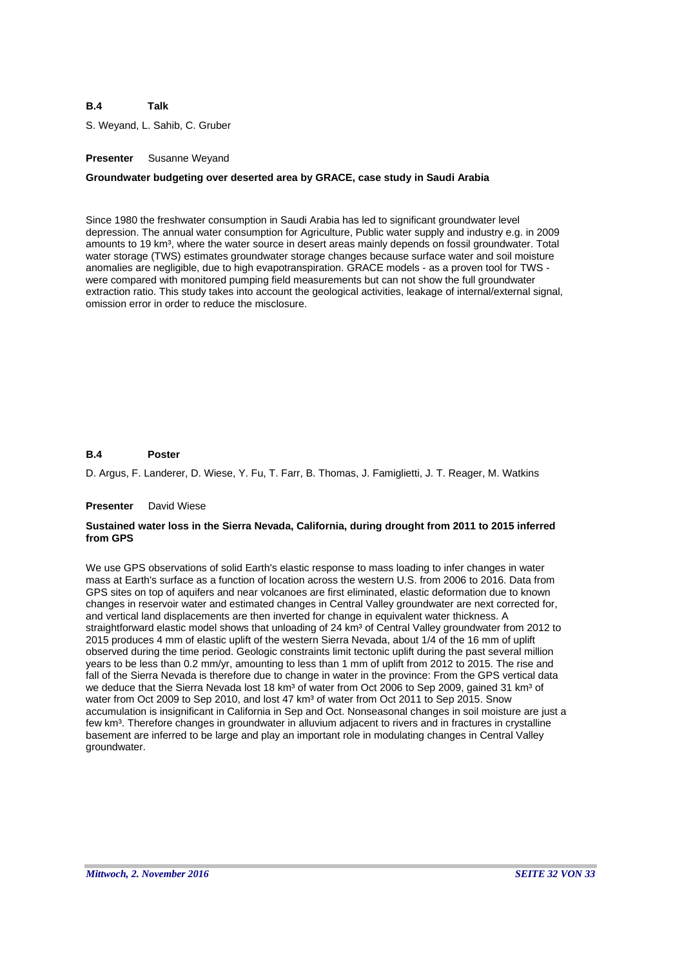S. Weyand, L. Sahib, C. Gruber

# **Presenter** Susanne Weyand

# **Groundwater budgeting over deserted area by GRACE, case study in Saudi Arabia**

Since 1980 the freshwater consumption in Saudi Arabia has led to significant groundwater level depression. The annual water consumption for Agriculture, Public water supply and industry e.g. in 2009 amounts to 19 km<sup>3</sup>, where the water source in desert areas mainly depends on fossil groundwater. Total water storage (TWS) estimates groundwater storage changes because surface water and soil moisture anomalies are negligible, due to high evapotranspiration. GRACE models - as a proven tool for TWS were compared with monitored pumping field measurements but can not show the full groundwater extraction ratio. This study takes into account the geological activities, leakage of internal/external signal, omission error in order to reduce the misclosure.

#### **B.4 Poster**

D. Argus, F. Landerer, D. Wiese, Y. Fu, T. Farr, B. Thomas, J. Famiglietti, J. T. Reager, M. Watkins

### **Presenter** David Wiese

# **Sustained water loss in the Sierra Nevada, California, during drought from 2011 to 2015 inferred from GPS**

We use GPS observations of solid Earth's elastic response to mass loading to infer changes in water mass at Earth's surface as a function of location across the western U.S. from 2006 to 2016. Data from GPS sites on top of aquifers and near volcanoes are first eliminated, elastic deformation due to known changes in reservoir water and estimated changes in Central Valley groundwater are next corrected for, and vertical land displacements are then inverted for change in equivalent water thickness. A straightforward elastic model shows that unloading of 24 km<sup>3</sup> of Central Valley groundwater from 2012 to 2015 produces 4 mm of elastic uplift of the western Sierra Nevada, about 1/4 of the 16 mm of uplift observed during the time period. Geologic constraints limit tectonic uplift during the past several million years to be less than 0.2 mm/yr, amounting to less than 1 mm of uplift from 2012 to 2015. The rise and fall of the Sierra Nevada is therefore due to change in water in the province: From the GPS vertical data we deduce that the Sierra Nevada lost 18 km<sup>3</sup> of water from Oct 2006 to Sep 2009, gained 31 km<sup>3</sup> of water from Oct 2009 to Sep 2010, and lost 47 km<sup>3</sup> of water from Oct 2011 to Sep 2015. Snow accumulation is insignificant in California in Sep and Oct. Nonseasonal changes in soil moisture are just a few km<sup>3</sup>. Therefore changes in groundwater in alluvium adjacent to rivers and in fractures in crystalline basement are inferred to be large and play an important role in modulating changes in Central Valley groundwater.